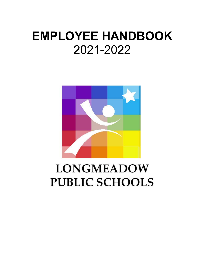# **EMPLOYEE HANDBOOK** 2021-2022



# **LONGMEADOW PUBLIC SCHOOLS**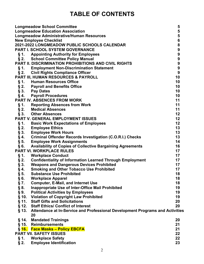# TABLE OF CONTENTS

|             | <b>Longmeadow School Committee</b>                                                  | 5                |
|-------------|-------------------------------------------------------------------------------------|------------------|
|             | <b>Longmeadow Education Association</b>                                             | 5<br>5<br>6<br>6 |
|             | <b>Longmeadow Administrative/Human Resources</b>                                    |                  |
|             | <b>New Employee Checklist</b>                                                       |                  |
|             | 2021-2022 LONGMEADOW PUBLIC SCHOOLS CALENDAR                                        | 899999           |
|             | <b>PART I. SCHOOL SYSTEM GOVERNANCE</b>                                             |                  |
|             | §1. Appointing Authority for Employees                                              |                  |
|             | § 2. School Committee Policy Manual                                                 |                  |
|             | <b>PART II. DISCRIMINATION PROHIBITIONS AND CIVIL RIGHTS</b>                        |                  |
|             | §1. Employment Non-Discrimination Statement                                         |                  |
|             | § 2. Civil Rights Compliance Officer                                                | 9                |
|             | PART III, HUMAN RESOURCES & PAYROLL                                                 | 10               |
|             | §1. Human Resources Office                                                          | 10               |
|             | § 2. Payroll and Benefits Office                                                    | 10               |
|             | § 3. Pay Dates                                                                      | 10<br>10         |
|             | § 4. Payroll Procedures<br>PART IV. ABSENCES FROM WORK                              | 11               |
|             |                                                                                     | 11               |
|             | §1. Reporting Absences from Work                                                    | 11               |
|             | § 2. Medical Absences<br>§ 3. Other Absences                                        | 12               |
|             | PART V. GENERAL EMPLOYMENT ISSUES                                                   | 12               |
|             | §1. Basic Work Expectations of Employees                                            | 12               |
|             | § 2. Employee Ethics                                                                | 13               |
|             | § 3. Employee Work Hours                                                            | 13               |
| § 4.        | <b>Criminal Offender Records Investigation (C.O.R.I.) Checks</b>                    | 13               |
|             | § 5. Employee Work Assignments                                                      | 14               |
|             | § 6. Availability of Copies of Collective Bargaining Agreements                     | 16               |
|             | <b>PART VI. WORKPLACE RULES</b>                                                     | 17               |
| § 1.        | <b>Workplace Conduct</b>                                                            | 17               |
|             | § 2. Confidentiality of Information Learned Through Employment                      | 17               |
| $\S 3.$     | <b>Weapons and Dangerous Devices Prohibited</b>                                     | 17               |
| §4.         | <b>Smoking and Other Tobacco Use Prohibited</b>                                     | 17               |
| $\S$ 5.     | <b>Substance Use Prohibited</b>                                                     | 18               |
| §6.         | <b>Workplace Apparel</b>                                                            | 18               |
| § 7.        | <b>Computer, E-Mail, and Internet Use</b>                                           | 18               |
| Ş<br>8.     | <b>Inappropriate Use of Inter-Office Mail Prohibited</b>                            | 19               |
| $\S$<br>9.  | <b>Political Activities by Employees</b>                                            | 19               |
| $\S$<br>10. | <b>Violation of Copyright Law Prohibited</b>                                        | 19               |
| $§$ 11.     | <b>Staff Gifts and Solicitations</b>                                                | 20               |
|             | § 12. Staff Ethics/ Conflict of Interest                                            | 20               |
| $§$ 13.     | Attendance at In-Service and Professional Development Programs and Activities<br>20 |                  |
| § 14.       | <b>Mandated Trainings</b>                                                           | 20               |
|             | § 15. Reimbursements                                                                | 21               |
|             | § 16. Face Masks - Policy EBCFA                                                     | 21               |
|             | <b>PART VII. SAFETY ISSUES</b>                                                      | 22               |
| § 1.        | <b>Workplace Safety</b>                                                             | 22               |
| $\S 2.$     | <b>Employee Identification</b>                                                      | 23               |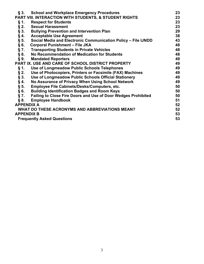| $\S 3.$           | <b>School and Workplace Emergency Procedures</b>                     |    |  |  |  |
|-------------------|----------------------------------------------------------------------|----|--|--|--|
|                   | PART VIII. INTERACTION WITH STUDENTS, & STUDENT RIGHTS               | 23 |  |  |  |
| $§$ 1.            | <b>Respect for Students</b>                                          | 23 |  |  |  |
| $\S 2.$           | <b>Sexual Harassment</b>                                             | 23 |  |  |  |
| $\S 3.$           | <b>Bullying Prevention and Intervention Plan</b>                     | 29 |  |  |  |
| §4.               | <b>Acceptable Use Agreement</b>                                      | 38 |  |  |  |
| § 5.              | Social Media and Electronic Communication Policy - File IJNDD        | 43 |  |  |  |
| §6.               | <b>Corporal Punishment - File JKA</b>                                | 48 |  |  |  |
| $\S 7.$           | <b>Transporting Students in Private Vehicles</b>                     | 48 |  |  |  |
| § 8.              | No Recommendation of Medication for Students                         | 48 |  |  |  |
| $\S 9.$           | <b>Mandated Reporters</b>                                            | 49 |  |  |  |
|                   | PART IX. USE AND CARE OF SCHOOL DISTRICT PROPERTY                    | 49 |  |  |  |
| $§$ 1.            | Use of Longmeadow Public Schools Telephones                          | 49 |  |  |  |
| $\S 2.$           | Use of Photocopiers, Printers or Facsimile (FAX) Machines            | 49 |  |  |  |
| §3.               | Use of Longmeadow Public Schools Official Stationery                 | 49 |  |  |  |
| §4.               | No Assurance of Privacy When Using School Network                    | 49 |  |  |  |
| § 5.              | Employee File Cabinets/Desks/Computers, etc.                         | 50 |  |  |  |
| §6.               | <b>Building Identification Badges and Room Keys</b>                  | 50 |  |  |  |
| § 7.              | <b>Failing to Close Fire Doors and Use of Door Wedges Prohibited</b> | 50 |  |  |  |
| § 8.              | <b>Employee Handbook</b>                                             | 51 |  |  |  |
| <b>APPENDIX A</b> |                                                                      | 52 |  |  |  |
|                   | WHAT DO THESE ACRONYMS AND ABBREVIATIONS MEAN?                       | 52 |  |  |  |
| <b>APPENDIX B</b> |                                                                      | 53 |  |  |  |
|                   | <b>Frequently Asked Questions</b>                                    | 53 |  |  |  |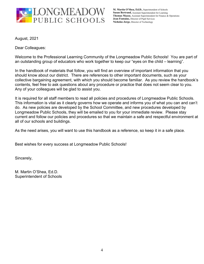

M. Martin O'Shea, Ed.D., Superintendent of Schools Susan Bertrand, Assistant Superintendent for Learning Thomas Mazza, Assistant Superintendent for Finance & Operations Jean Fontaine, Director of Pupil Services Nicholas Jorge, Director of Technology

**August, 2021** 

Dear Colleagues:

Welcome to the Professional Learning Community of the Longmeadow Public Schools! You are part of an outstanding group of educators who work together to keep our "eyes on the child – learning".

In the handbook of materials that follow, you will find an overview of important information that you should know about our district. There are references to other important documents, such as your collective bargaining agreement, with which you should become familiar. As you review the handbook's contents, feel free to ask questions about any procedure or practice that does not seem clear to you. Any of your colleagues will be glad to assist you.

It is required for all staff members to read all policies and procedures of Longmeadow Public Schools. This information is vital as it clearly governs how we operate and informs you of what you can and can't do. As new policies are developed by the School Committee, and new procedures developed by Longmeadow Public Schools, they will be emailed to you for your immediate review. Please stay current and follow our policies and procedures so that we maintain a safe and respectful environment at all of our schools and buildings.

As the need arises, you will want to use this handbook as a reference, so keep it in a safe place.

Best wishes for every success at Longmeadow Public Schools!

Sincerely,

M. Martin O'Shea, Ed.D. **Superintendent of Schools**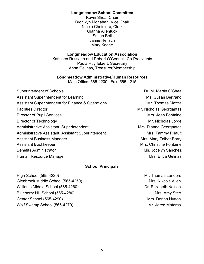### **Longmeadow School Committee**

Kevin Shea, Chair Bronwyn Monahan, Vice Chair Nicole Choiniere, Clerk Gianna Allentuck Susan Bell Jamie Hensch Mary Keane

# **Longmeadow Education Association**

Kathleen Russotto and Robert O'Connell, Co-Presidents Paula Ruyffelaert, Secretary Anna Gelinas, Treasurer/Membership

# **Longmeadow Administrative/Human Resources**

Main Office: 565-4200 Fax: 565-4215

| <b>Superintendent of Schools</b>                             | Dr. M. Martin O'Shea    |
|--------------------------------------------------------------|-------------------------|
| <b>Assistant Superintendent for Learning</b>                 | Ms. Susan Bertrand      |
| <b>Assistant Superintendent for Finance &amp; Operations</b> | Mr. Thomas Mazza        |
| <b>Facilities Director</b>                                   | Mr. Nicholas Georgantas |
| <b>Director of Pupil Services</b>                            | Mrs. Jean Fontaine      |
| Director of Technology                                       | Mr. Nicholas Jorge      |
| Administrative Assistant, Superintendent                     | Mrs. Dianne Georgantas  |
| Administrative Assistant, Assistant Superintendent           | Mrs. Tammy Filiault     |
| <b>Assistant Business Manager</b>                            | Mrs. Mary Talbot-Barry  |
| <b>Assistant Bookkeeper</b>                                  | Mrs. Christine Fontaine |
| <b>Benefits Administrator</b>                                | Ms. Jocelyn Sanchez     |
| Human Resource Manager                                       | Mrs. Erica Gelinas      |
|                                                              |                         |

# **School Principals**

High School (565-4220) Glenbrook Middle School (565-4250) Williams Middle School (565-4260) Blueberry Hill School (565-4280) Center School (565-4290) Wolf Swamp School (565-4270)

Mr. Thomas Landers Mrs. Nikcole Allen Dr. Elizabeth Nelson Mrs. Amy Stec Mrs. Donna Hutton Mr. Jared Materas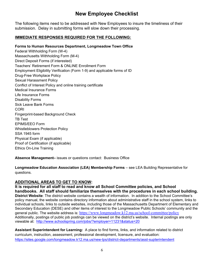# **New Employee Checklist**

The following items need to be addressed with New Employees to insure the timeliness of their submission. Delay in submitting forms will slow down their processing.

# **IMMEDIATE RESPONSES REQUIRED FOR THE FOLLOWING:**

# Forms to Human Resources Department, Longmeadow Town Office

Federal Withholding Form (W-4) Massachusetts Withholding Form (M-4) Direct Deposit Forms (if interested) Teachers' Retirement Form & ONLINE Enrollment Form Employment Eligibility Verification (Form 1-9) and applicable forms of ID Drug-Free Workplace Policy **Sexual Harassment Policy** Conflict of Interest Policy and online training certificate **Medical Insurance Forms** Life Insurance Forms **Disability Forms Sick Leave Bank Forms** CORI Fingerprint-based Background Check **TB Test EPIMS/EEO Form Whistleblowers Protection Policy** SSA 1945 form Physical Exam (if applicable) Proof of Certification (if applicable) **Ethics On-Line Training** 

Absence Management- issues or questions contact: Business Office

Longmeadow Education Association (LEA) Membership Forms - see LEA Building Representative for questions.

# **ADDITIONAL AREAS TO GET TO KNOW:**

It is required for all staff to read and know all School Committee policies, and School handbooks. All staff should familiarize themselves with the procedures in each school building. District Website: The district website contains a wealth of information. In addition to the School Committee's policy manual, the website contains directory information about administrative staff in the school system, links to individual schools, links to outside websites, including those of the Massachusetts Department of Elementary and Secondary Education (DESE) and other items of interest to the Longmeadow Public Schools' community and the general public. The website address is: https://www.longmeadow.k12.ma.us/school-committee/policy Additionally, postings of public job postings can be viewed on the district's website. Internal postings are only viewable at: http://www.schoolspring.com/jobs/?employer=11231&status=20

Assistant Superintendent for Learning: A place to find forms, links, and information related to district curriculum, instruction, assessment, professional development, licensure, and evaluation: https://sites.google.com/longmeadow.k12.ma.us/new-lps/district-departments/asst-supterintendent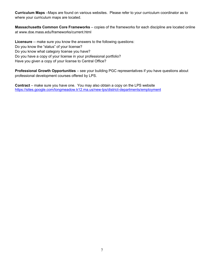Curriculum Maps -Maps are found on various websites. Please refer to your curriculum coordinator as to where your curriculum maps are located.

Massachusetts Common Core Frameworks - copies of the frameworks for each discipline are located online at www.doe.mass.edu/frameworks/current.html

Licensure -- make sure you know the answers to the following questions: Do you know the "status" of your license? Do you know what category license you have? Do you have a copy of your license in your professional portfolio? Have you given a copy of your license to Central Office?

Professional Growth Opportunities - see your building PGC representatives if you have questions about professional development courses offered by LPS.

**Contract** – make sure you have one. You may also obtain a copy on the LPS website https://sites.google.com/longmeadow.k12.ma.us/new-lps/district-departments/employment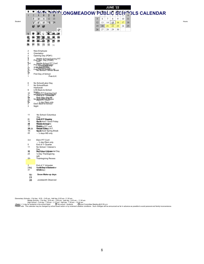|                                                                                                      |                                                                                                                                                                                                                                                                                                                                                                                                                                | <b>JUNE '22</b>                                                                          |                                                         |        |
|------------------------------------------------------------------------------------------------------|--------------------------------------------------------------------------------------------------------------------------------------------------------------------------------------------------------------------------------------------------------------------------------------------------------------------------------------------------------------------------------------------------------------------------------|------------------------------------------------------------------------------------------|---------------------------------------------------------|--------|
| s                                                                                                    | <b>ANAL INOFORE ONGMEADOW PUBLIC SCHOOLS CALENDAR</b><br>м                                                                                                                                                                                                                                                                                                                                                                     |                                                                                          |                                                         |        |
| $\mathbf{1}$<br>聊<br>14<br>鹣<br>蝮稗<br>翘<br>鹨<br>$\frac{20}{2}$                                       | $\overline{2}$<br>$\overline{\mathbf{3}}$<br>$\ddot{\phantom{a}}$<br>901001111112<br>13<br>$N = 15 = 13 \cdot 236$<br>W,<br>$\mathcal{R}^{\circ}$<br>$\mathbb{R}^3$<br>29<br>$1\frac{3}{2}0$<br>sumes<br>/ Martin 18 uth 19<br>:ho<br>NOS.<br>$1\overline{g}$<br>nomgo.<br>Emdo<br>$20.20$<br>Quarter $7.1$ st<br>48<br><b>M</b> ness<br>$\frac{28}{2}$<br>塑<br>篘<br>$\frac{3}{9}$<br>$\frac{29}{29}$<br>$\frac{38}{28}$<br>31 | 5<br>8<br>7<br>6<br>14<br>15<br>12<br>13<br>19<br>22<br>20<br>21<br>26<br>27<br>28<br>29 | 9<br>10<br>11<br>18<br>16<br>17<br>23<br>24<br>25<br>30 | Hours: |
| $\overline{\mathbf{c}}$<br>4<br>$\boldsymbol{2}$<br>Sandwryddiadau<br>Sandwryddiadau<br>$\mathbf{1}$ | New Employee<br>Orientation<br>Opening Day (PD#1)<br>Middle School Evening P/T<br>Protophev. Day (PD#2)<br>Middle School P/T Conf.<br>Prof DeVays Mis 3Gilor<br>work, days Mis 3Gilor<br>First DeVa∨ Profil-12<br>First DeVa∨ Profil-12 Break<br>First Day of School<br>Prek & K                                                                                                                                               |                                                                                          |                                                         |        |
| 6<br>$\overline{7}$<br>9<br>10<br>11<br>$\frac{48}{264}$<br>3                                        | No School/Labor Day<br>No School/Rosh<br>Hashanah<br>LHS Back-to-School<br>Night S P/T Evening Conf.<br>MS <del>ERACK to Schinestep</del> ht<br>Prof. Dev. Day #5<br>No School You Kippur<br>- 1/2 day Elem only<br>Elem Back-to-School<br>Night                                                                                                                                                                               |                                                                                          |                                                         |        |
| 11<br>21<br>15<br>26<br>17<br>$28 - 29$<br>18-<br>22                                                 | No School /Columbus<br>Day<br>EhtSoff/3 <sup>d</sup> Extention<br><b>Nonfichool / Good Friday</b><br><b>Radde/Schegins</b><br>Easteing P/T conf.<br>Radrade Solagol P/T<br><b>Nortichool/ Spring Break</b><br>$-$ 1/2 days MS only                                                                                                                                                                                             |                                                                                          |                                                         |        |
| $3 - 4$<br>5<br>11<br>30<br>24                                                                       | Elem P/T Conf.<br>$-$ 1/2 day Elem only<br>End of 1 <sup>st</sup> Quarter<br>No School / Veteran's<br>Day<br>No School Dalemaorial Day<br>1/2 Day Thanksgiving                                                                                                                                                                                                                                                                 |                                                                                          |                                                         |        |
| $25 -$                                                                                               | (all)<br>Thanksgiving Recess                                                                                                                                                                                                                                                                                                                                                                                                   |                                                                                          |                                                         |        |
| 3 <sup>2</sup><br>$23 + 5$<br>31                                                                     | End of 1 <sup>st</sup> trimester<br>NoaStcDay of Decrember<br>Breakday)                                                                                                                                                                                                                                                                                                                                                        |                                                                                          |                                                         |        |
| $16 -$<br>23                                                                                         | Snow Make-up days                                                                                                                                                                                                                                                                                                                                                                                                              |                                                                                          |                                                         |        |
| 20                                                                                                   | Juneteenth Observed                                                                                                                                                                                                                                                                                                                                                                                                            |                                                                                          |                                                         |        |

Student

Elementary Schools – Full day: 8:35 – 2:45 pm; Half day: 8:35 am -11:30 am<br>Middle Schools – Full day: 8:30 am – 2:50 pm; Half day: 8:30 am – 11:30 am<br>
Half day: 7:39 am – 2:15 pm; Half day: 8:30 am – 10:44 am<br>
Please note:

8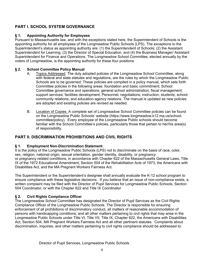# **PART I. SCHOOL SYSTEM GOVERNANCE**

### **Appointing Authority for Employees** § 1.

Pursuant to Massachusetts law, and with the exceptions stated here, the Superintendent of Schools is the appointing authority for all employees of the Longmeadow Public Schools (LPS). The exceptions to the Superintendent's status as appointing authority are: (1) the Superintendent of Schools; (2) the Assistant Superintendent for Learning, (3) the Director of Special Education, and (4) the Business Manager/ Assistant Superintendent for Finance and Operations. The Longmeadow School Committee, elected annually by the voters of Longmeadow, is the appointing authority for these four positions.

### $\S 2.$ **School Committee Policy Manual**

- Topics Addressed. The duly adopted policies of the Longmeadow School Committee, along А. with federal and state statutes and regulations, are the rules by which the Longmeadow Public Schools are to be governed. These policies are compiled in a policy manual, which sets forth Committee policies in the following areas: foundation and basic commitment; School Committee governance and operations; general school administration; fiscal management; support services; facilities development; Personnel; negotiations; instruction; students; schoolcommunity relations; and education agency relations. The manual is updated as new policies are adopted and existing policies are revised as needed.
- $B<sub>1</sub>$ Location of Copies. A complete set of Longmeadow School Committee policies can be found on the Longmeadow Public Schools' website (https://www.longmeadow.k12.ma.us/schoolcommittee/policy). Every employee of the Longmeadow Public schools should become familiar with the School Committee's policies, particularly those that pertain to her/his area(s) of responsibility.

# **PART II. DISCRIMINATION PROHIBITIONS AND CIVIL RIGHTS**

### $§$  1. **Employment Non-Discrimination Statement**

It is the policy of the Longmeadow Public Schools (LPS) not to discriminate on the basis of race, color, sex, religion, national origin, sexual orientation, gender identity, disability, or pregnancy or pregnancy related conditions, in accordance with Chapter 622 of the Massachusetts General Laws, Title IX of the 1972 Educational Amendment, Section 504 of the Rehabilitation Acts of 1973, the Americans with Disabilities Act, and the MA Pregnant Workers Fairness Act.

The Superintendent or the Superintendent's designee shall annually evaluate the K-12 school program to ensure compliance with these legislative decisions. If you believe that an issue of non-compliance exists, a written complaint may be filed with the Director of Pupil Services for Longmeadow Public Schools, Section 504 Coordinator, or with the Chapter 622 and Title IX Coordinator

### **Civil Rights Compliance Officer**  $\S 2.$

The Longmeadow School Committee has designated the Director of Pupil Services as the Civil Rights Compliance Officer of the Longmeadow Public Schools. The Director is responsible for ensuring enforcement of all prohibitions of discriminatory conduct, all matters of reasonable accommodation of persons with handicapping conditions, and all other matters pertaining to civil rights that may arise in the Longmeadow Public Schools under Title VI, Title VII, Title IX, Chapter 622, the Americans with Disabilities Act, Section 504, MA Pregnant Workers Fairness Act and all other pertinent statutes. Complaints about discrimination, inquiries, and other matters pertaining to civil rights compliance should be addressed to: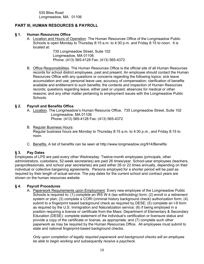535 Bliss Road Longmeadow, MA 01106

# PART III, HUMAN RESOURCES & PAYROLL

#### $§$  1. **Human Resources Office**

A. Location and Hours of Operation. The Human Resources Office of the Longmeadow Public Schools is open Monday to Thursday 8:15 a.m. to 4:30 p.m. and Friday 8:15 to noon. It is located at:

> 735 Longmeadow Street, Suite 102 Longmeadow, MA 01106 Phone: (413) 565-4128 Fax: (413) 565-4372

B. Office Responsibilities. The Human Resources Office is the official site of all Human Resources records for school district employees, past and present. An employee should contact the Human Resources Office with any questions or concerns regarding the following topics: sick leave accumulation and use; personal leave use; accuracy of compensation; clarification of benefits available and entitlement to such benefits; the contents and inspection of Human Resources records; questions regarding leave, either paid or unpaid; absences for medical or other reasons; and any other matter pertaining to employment issues with the Longmeadow Public Schools.

#### $§$  2. **Payroll and Benefits Office**

- A. Location. The Longmeadow's Human Resource Office, 735 Longmeadow Street, Suite 102 Longmeadow, MA 01106
	- Phone: (413) 565-4128 Fax: (413) 565-4372
- **B.** Regular Business Hours: Regular business hours are Monday to Thursday 8:15 a.m. to 4:30 p.m., and Friday 8:15 to noon.
- C. Benefits. A list of benefits can be seen at http://www.longmeadow.org/914/Benefits

#### $§ 3.$ **Pav Dates**

Employees of LPS are paid every other Wednesday. Twelve-month employees (principals, other administrators, custodians, 52-week secretaries) are paid 26 times/year. School-year employees (teachers, paraprofessionals, and school year secretaries) are paid either 26 or 22 times annually, depending on their individual or collective bargaining agreements. Persons employed for a shorter period will be paid as required by their length of actual service. The pay dates for the current school and contract years are shown on the human resources website.

#### $§$ 4. **Payroll Procedures**

A. Paperwork Requirements upon Employment. Every new employee of the Longmeadow Public Schools is required to: (1) complete an IRS W-4 (tax withholding) form; (2) enroll in a retirement system or plan; (3) complete a CORI (criminal history background check) authorization form; (4) submit to a fingerprint based background check as required by DESE; (5) complete an I-9 form as required by the U.S. Immigration and Naturalization service; (6) if being employed in a position requiring a license or certificate from the Mass. Department of Elementary & Secondary Education (DESE): complete statement of the individual's certification or licensure status and provide a copy of the certificate or license, as appropriate; and (7) complete such other paperwork as may be required by the Human Resources Office. All employees must submit to state and national fingerprint-based background checks.

Only upon completion of legally required paperwork and background checks will an employee be able to begin working and subsequently receive a paycheck.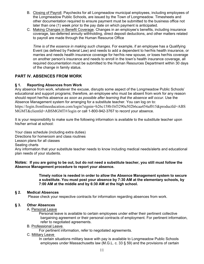- B. Closing of Payroll. Paychecks for all Longmeadow municipal employees, including employees of the Longmeadow Public Schools, are issued by the Town of Longmeadow. Timesheets and other documentation required to ensure payment must be submitted to the business office not later than one (1) week prior to the pay date on which payment is anticipated.
- C. Making Changes in Benefit Coverage. Changes in an employee's benefits, including insurance coverage, tax-deferred annuity withholding, direct deposit deductions, and other matters related to payroll are made through the Human Resource Office

Time is of the essence in making such changes. For example, if an employee has a Qualifying Event (as defined by Federal Law) and needs to add a dependent to her/his health insurance, or marries and needs health insurance coverage for her/his new spouse, or loses her/his coverage on another person's insurance and needs to enroll in the town's health insurance coverage, all required documentation must be submitted to the Human Resources Department within 30 days of the change in family status.

# **PART IV. ABSENCES FROM WORK**

#### **Reporting Absences from Work** § 1.

Any absence from work, whatever the excuse, disrupts some aspect of the Longmeadow Public Schools' educational and support programs; therefore, an employee who must be absent from work for any reason should report her/his absence as soon as possible after learning that the absence will occur. Use the Absence Management system for arranging for a substitute teacher. You can log on to: https://login.frontlineeducation.com/login?signin=b26c158b1bf3290a502b6caa454af015&productId=ABS MGMT&clientId=ABSMGMT#/login or call 1-800-942-3767 to record your absence.

It is your responsibility to make sure the following information is available to the substitute teacher upon his/her arrival at school:

Your class schedule (including extra duties) Directions for homeroom and class routines Lesson plans for all classes Seating charts Any information that your substitute teacher needs to know including medical needs/alerts and educational plan needs of your students.

Notes: If you are going to be out, but do not need a substitute teacher, you still must follow the Absence Management procedure to report your absence.

> Timely notice is needed in order to allow the Absence Management system to secure a substitute. You must post your absence by 7:30 AM at the elementary schools, by 7:00 AM at the middle and by 6:30 AM at the high school.

#### $\S 2.$ **Medical Absences**

Please check your respective contracts for information regarding absences from work.

#### $\S 3.$ **Other Absences**

A. Personal Leave

Personal leave is available to certain employees under either their pertinent collective bargaining agreement or their personal contracts of employment. For pertinent information, refer to negotiated agreements.

### **B. Professional Leave**

For pertinent information, refer to negotiated agreements.

C. Military Leave

In certain situations military leave with pay is available to Longmeadow Public Schools employees under Massachusetts law (M.G.L. c. 33 § 59) and the provisions of certain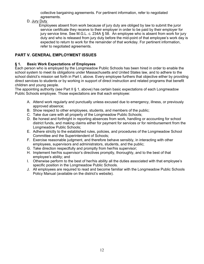collective bargaining agreements. For pertinent information, refer to negotiated agreements.

D. Jury Duty

Employees absent from work because of jury duty are obliged by law to submit the juror service certificate they receive to their employer in order to be paid by their employer for jury service time. See M.G.L. c. 234A § 58. An employee who is absent from work for jury duty and who is released from jury duty before the mid-point of that employee's work day is expected to return to work for the remainder of that workday. For pertinent information, refer to negotiated agreements.

# PART V. GENERAL EMPLOYMENT ISSUES

#### $§ 1.$ **Basic Work Expectations of Employees**

Each person who is employed by the Longmeadow Public Schools has been hired in order to enable the school system to meet its obligations under Massachusetts and United States law, and to adhere to the school district's mission set forth in Part I, above. Every employee furthers that objective either by providing direct services to students or by working in support of direct instruction and related programs that benefit children and young people.

The appointing authority (see Part II § 1, above) has certain basic expectations of each Longmeadow Public Schools employee. Those expectations are that each employee:

- A. Attend work regularly and punctually unless excused due to emergency, illness, or previously approved absence;
- B. Show respect to other employees, students, and members of the public;
- C. Take due care with all property of the Longmeadow Public Schools;
- D. Be honest and forthright in reporting absences from work, handling or accounting for school district funds, and making claims either for payment for services or for reimbursement from the Longmeadow Public Schools;
- E. Adhere strictly to the established rules, policies, and procedures of the Longmeadow School Committee and the Superintendent of Schools;
- F. Exercise reasonable judgment, and therefore behave sensibly, in interacting with other employees, supervisors and administrators, students, and the public;
- G. Take direction respectfully and promptly from her/his supervisor;
- H. Implement her/his supervisor's directives promptly, thoroughly, and to the best of that employee's ability; and
- I. Otherwise perform to the best of her/his ability all the duties associated with that employee's specific position in the Longmeadow Public Schools.
- J. All employees are required to read and become familiar with the Longmeadow Public Schools Policy Manual (available on the district's website).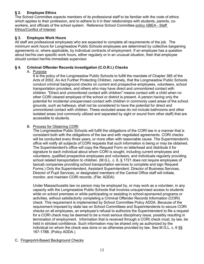### $§$  2. **Employee Ethics**

The School Committee expects members of its professional staff to be familiar with the code of ethics which applies to their profession, and to adhere to it in their relationships with students, parents, coworkers, and officials of the school system. Reference School Committee policy GBEA - Staff **Ethics/Conflict of Interest** 

#### $\S 3.$ **Employee Work Hours**

All staff are professional employees who are expected to complete all requirements of the job. The minimum work hours for Longmeadow Public Schools employees are determined by collective bargaining agreements or, where applicable, by individual contracts of employment. If an employee has a question about her/his own specific work hours, either regularly or in an unusual situation, then that employee should contact her/his immediate supervisor.

#### $§$  4. Criminal Offender Records Investigation (C.O.R.I.) Checks

# A. Purpose

It is the policy of the Longmeadow Public Schools to fulfill the mandate of Chapter 385 of the Acts of 2002, An Act Further Protecting Children, namely, that the Longmeadow Public Schools conduct criminal background checks on current and prospective employees, volunteers, school transportation providers, and others who may have direct and unmonitored contact with children. "Direct and unmonitored contact with children" means contact with a child when no other CORI cleared employee of the school or district is present. A person having only the potential for incidental unsupervised contact with children in commonly used areas of the school grounds, such as hallways, shall not be considered to have the potential for direct and unmonitored contact with children. These excluded areas do not include bathrooms and other isolated areas (not commonly utilized and separated by sight or sound from other staff) that are accessible to students.

# B. Process for Obtaining CORI

The Longmeadow Public Schools will fulfill the obligations of the CORI law in a manner that is consistent both with the obligations of the law and with negotiated agreements. CORI checks will be conducted every three years, or more often with reasonable cause. The Superintendent's office will notify all subjects of CORI requests that such information is being or may be obtained. The Superintendent's office will copy the Request Form on letterhead and distribute it for signature to each individual about whom CORI is sought, including current employees and volunteers, qualified prospective employees and volunteers, and individuals regularly providing school related transportation to children. (M.G.L. c. 6, § 1721 does not require employees of taxicab companies providing school transportation services to complete and sign Request Forms.) Only the Superintendent, Assistant Superintendent, Director of Business Services, Director of Pupil Services, or designated members of the Central Office staff will initiate, monitor, and maintain CORI records. (File: ADDA)

Under Massachusetts law no person may be employed by, or may work as a volunteer, in any capacity with the Longmeadow Public Schools that involves unsupervised access to students while on school premises or while participating or assisting in school-sponsored programs or activities, without satisfactorily completing a Criminal Offender Records Information (CORI) check. This requirement is implemented by School Committee Policy ADDA. Because of the requirement imposed by state law on School Committees and Superintendents to secure CORI checks on all employees, an employee's refusal to authorize the Superintendent to file a request for a CORI check may be deemed to be a most serious disciplinary issue, possibly resulting in termination of employment. Information that is received through a CORI check must, by law, be held in strictest confidence. Such information may be shared only as authorized by the individual on whom the check was done or as otherwise provided by law. See M.G.L. c. 6  $\S$ 167-178B. (Policy ADDA.)

# C. Fingerprint-Based Background Checks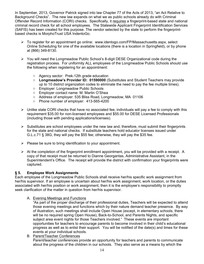In September, 2013, Governor Patrick signed into law Chapter 77 of the Acts of 2013, "an Act Relative to Background Checks". The new law expands on what we as public schools already do with Criminal Offender Record Information (CORI) checks. Specifically, it requires a fingerprint-based state and national criminal record check for all school employees. The Statewide Applicant Fingerprint Identification Services (SAFIS) has been created for this purpose. The vendor selected by the state to perform the fingerprintbased checks is MorphoTrust USA IndentoGo.

- > To register for an appointment go online: www.identogo.com/FP/Massachusetts.aspx, select Online Scheduling for one of the available locations (there is a location in Springfield), or by phone at (866) 349-8130.
- $\triangleright$  You will need the Longmeadow Public School's 8-digit DESE Organizational code during the registration process. For uniformity ALL employees of the Longmeadow Public Schools should use the following when registering for an appointment:
	- Agency sector: Prek-12th grade education
	- $\circ$  Longmeadow's Provider ID: 01590000 (Substitutes and Student Teachers may provide up to 10 district organization codes to eliminate the need to pay the fee multiple times).
	- Employer: Longmeadow Public Schools
	- Employer contact name: M. Martin O'Shea
	- Address of employer: 535 Bliss Road, Longmeadow, MA 01106
	- Phone number of employer: 413-565-4200
- $\triangleright$  Unlike state CORI checks that have no associated fee, individuals will pay a fee to comply with this requirement \$35.00 for non-licensed employees and \$55.00 for DESE Licensed Professionals (including those with pending applications/licenses).
- $\triangleright$  Substitutes are school employees under the new law and, therefore, must submit their fingerprints for the state and national checks. If substitute teachers hold educator licenses issued under G.L.c.71 § 38G, they will pay the \$55 fee; otherwise, they will pay the \$35 fee.
- $\triangleright$  Please be sure to bring identification to your appointment.
- $\triangleright$  At the completion of the fingerprint enrollment appointment, you will be provided with a receipt. A copy of that receipt must be returned to Dianne Georgantas, Administrative Assistant, in the Superintendent's Office. The receipt will provide the district with confirmation your fingerprints were captured.

#### $\S 5.$ **Employee Work Assignments**

Each employee of the Longmeadow Public Schools shall receive her/his specific work assignment from her/his supervisor. If an employee is uncertain about her/his work assignment, work location, or the duties associated with her/his position or work assignment, then it is the employee's responsibility to promptly seek clarification of the matter in question from her/his supervisor.

A. Evening Meetings and Functions

"As part of the proper discharge of their professional duties, Teachers will be expected to attend those evening meetings and functions which by their nature demand teacher presence. By way of illustration, such meetings shall include Open House (except, in elementary schools, there will be no required spring Open House), Back-to-School, and Parents Nights, and specific subject area event nights for those Teachers involved." These events are important opportunities for teachers to encourage parents to become involved in their child's educational progress as well as to enlist their support. You will be notified of the date(s) and times for these events at your individual schools.

B. Parent/Teacher Conferences Parent/teacher conferences provide an opportunity for teachers and parents to communicate about the progress of the children in our schools. They also serve as a means by which the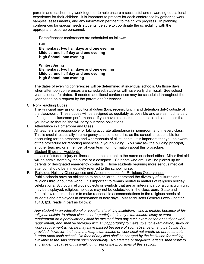parents and teacher may work together to help ensure a successful and rewarding educational experience for their children. It is important to prepare for each conference by gathering work samples, assessments, and any information pertinent to the child's progress. In planning conferences for special needs students, be sure to coordinate the scheduling with the appropriate resource personnel.

Parent/teacher conferences are scheduled as follows:

Fall

Elementary: two half days and one evening Middle: one half day and one evening **High School: one evening** 

### **Winter /Spring** Elementary: two half days and one evening Middle: one half day and one evening **High School: one evening**

The dates of evening conferences will be determined at individual schools. On those days when afternoon conferences are scheduled, students will have early dismissal. See school year calendar for dates. If needed, additional conferences may be scheduled throughout the year based on a request by the parent and/or teacher.

C. Non-Teaching Duties

The Principal may assign additional duties (bus, recess, lunch, and detention duty) outside of the classroom. These duties will be assigned as equitably as possible and are as much a part of the job as classroom performance. If you have a substitute, be sure to indicate duties that you have so that he/she will carry out these obligations.

D. Attendance in Homeroom and Class

All teachers are responsible for taking accurate attendance in homeroom and in every class. This is crucial, especially in emergency situations or drills, as the school is responsible for accounting for the presence and whereabouts of all students. It is important that you be aware of the procedure for reporting absences in your building. You may ask the building principal, another teacher, or a member of your team for information about this procedure.

E. **Student Illness or Accidents** 

In case of student injury or illness, send the student to the nurse or school office. Minor first aid will be administered by the nurse or a designee. Students who are ill will be picked up by parents or designated emergency contacts. Those students requiring more serious medical attention should be immediately referred to the school nurse.

 $F_{\rm{H}}$ Religious Holiday Observances and Accommodation for Religious Observances Public schools have an obligation to help children understand the diversity of cultures and religions throughout the world. It is important to remain neutral in matters of religious holiday celebrations. Although religious objects or symbols that are an integral part of a curriculum unit may be displayed, religious holidays may not be celebrated in the classroom. State and federal law require schools to make reasonable accommodations to the religious needs of students and employees in observance of holy days. Massachusetts General Laws Chapter 151B, §2B reads in part as follows:

Any student in an educational or vocational training institution...who is unable, because of his religious beliefs, to attend classes or to participate in any examination, study or work requirement on a particular day shall be excused from any such examination or study or work requirement, and shall be provided with any opportunity to make up such examination, study or work requirement which he may have missed because of such absence on any particular day; provided, however, that such makeup examination or work shall not create an unreasonable burden upon such school. No fees of any kind shall be charged by the institution for making available to the said student such opportunity. No adverse or prejudicial effects shall result to any student because of his availing himself of the provisions of this section.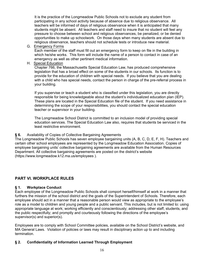It is the practice of the Longmeadow Public Schools not to exclude any student from participating in any school activity because of absence due to religious observance. All teachers will be informed of days of religious observance when it is anticipated that many students might be absent. All teachers and staff need to insure that no student will feel any pressure to choose between school and religious observances, be penalized, or be denied opportunities to make up schoolwork. On those days when many students are absent due to religious observance, teachers should not schedule tests or introduce new material.

G. Emergency Forms

Each member of the staff must fill out an emergency form to keep on file in the building in which he/she works. This form will include the name of a person to contact in case of an emergency as well as other pertinent medical information.

H. Special Education

Chapter 766, the Massachusetts Special Education Law, has produced comprehensive legislation that has a broad effect on some of the students in our schools. Its function is to provide for the education of children with special needs. If you believe that you are dealing with a child who has special needs, contact the person in charge of the pre-referral process in your building.

If you supervise or teach a student who is classified under this legislation, you are directly responsible for being knowledgeable about the student's individualized education plan (IEP). These plans are located in the Special Education file of the student. If you need assistance in determining the scope of your responsibilities, you should contact the special education teacher or supervisor in your building.

The Longmeadow School District is committed to an inclusion model of providing special education services. The Special Education Law also, requires that students be serviced in the least restrictive environment.

#### $§ 6.$ Availability of Copies of Collective Bargaining Agreements

The Longmeadow Public Schools has seven employee bargaining units (A, B, C, D, E, F, H). Teachers and certain other school employees are represented by the Longmeadow Education Association. Copies of employee bargaining units' collective bargaining agreements are available from the Human Resources Department. All collective bargaining agreements are posted on the district's website (https://www.longmeadow.k12.ma.us/employees).

# **PART VI. WORKPLACE RULES**

#### $§$  1. **Workplace Conduct**

Each employee of the Longmeadow Public Schools shall comport herself/himself at work in a manner that furthers the mission of the school district and the goals of the Superintendent of Schools. Therefore, each employee should act in a manner that a reasonable person would view as appropriate to the employee's role as a model to children and young people and a public servant. This includes, but is not limited to: using appropriate language at work; working efficiently and conscientiously; addressing other staff, students, and the public respectfully; and promptly and courteously following the directions of the employee's supervisor(s) and superior(s).

Employees are to comply with School Committee policies, available on the School District's website, and MA General Laws. Violation of policies or laws may result in disciplinary action up to and including termination.

#### **Confidentiality of Information Learned Through Employment**  $\S 2.$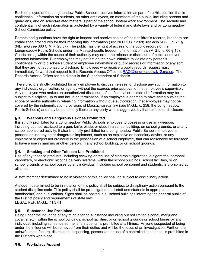Each employee of the Longmeadow Public Schools receives information as part of her/his position that is confidential. Information on students, on other employees, on members of the public, including parents and quardians, and on school-related matters is part of the school system work environment. The security and confidentiality of such information is protected by a variety of federal and state laws and by Longmeadow School Committee policy.

Parents and guardians have the right to inspect and receive copies of their children's records, but there are established procedures for their receiving this information (see 20 U.S.C. 1232f; see also M.G.L. c. 71 § 34D; and see 603 C.M.R. 23.07). The public has the right of access to the public records of the Longmeadow Public Schools under the Massachusetts freedom of information law (M.G.L. c. 66 § 10). Courts acting within the scope of their authority may order the release or disclosure of public and even personal information. But employees may not act on their own initiative to violate any person's confidentiality or to disclose student or employee information or public records or information of any sort that they are not authorized to disclose. Employees who receive a public records request must immediately forward that request to the Records Access Officer at RAO@longmeadow.k12.ma.us. The Records Access Officer for the district is the Superintendent of Schools.

Therefore, it is strictly prohibited for any employee to discuss, release, or disclose any such information to any individual, organization, or agency without the express prior approval of that employee's supervisor. Any employee who makes an unauthorized disclosure of confidential or protected information may be subject to discipline, up to and including termination. If an employee is deemed to have acted outside the scope of her/his authority in releasing information without due authorization, that employee may not be covered by the indemnification provisions of Massachusetts law (see M.G.L. c. 258; the Longmeadow Public Schools) and may be personally liable to any party who is aggrieved by that release or disclosure.

#### **Weapons and Dangerous Devices Prohibited**  $§ 3.$

It is strictly prohibited for a Longmeadow Public Schools employee to possess or use any weapon, including but not restricted to a gun, knife, blade, or club, in a school building, on school grounds, or at any school-sponsored activity. It also is strictly prohibited for a Longmeadow Public Schools employee to possess or use any other dangerous implement, such as an explosive or incendiary device, or any implement or object not ordinarily in the possession of a school employee, that can reasonably be foreseen to have a use in harming another person, in any school building, or on school grounds.

### § 4. **Smoking and Other Tobacco Use Prohibited**

Use of any tobacco products, including chewing or the use of electronic cigarettes, e-cigarettes, personal vaporizers, or electronic nicotine delivery systems, within the school buildings, school facilities, or on school grounds or school buses by any individual, including school personnel and students, is prohibited at all times.

A staff member determined to be in violation of this policy shall be subject to disciplinary action.

A student determined to be in violation of this policy shall be subject to disciplinary action pursuant to the student discipline code. This policy shall be promulgated to all staff and students in appropriate handbook(s) and publications. Signs shall be posted in all school buildings informing the general public of the District policy and requirements of state law. LEGAL REF: M.G.L. 71:37H

### **Substance Use Prohibited**  $§ 5.$

Being under the influence of any mind altering substance including but not limited alcohol, marijuana, cocaine, etc., within the school buildings, school facilities, or on school grounds or school buses by any individual, including school personnel and students, is prohibited at all times. Anyone suspected of being under the influence will be removed from their duties and will be the focus of an investigation. Further, the unlawful manufacture, distribution, dispensing, possession or use of a controlled substance, is prohibited in the District's workplace.

### § 6. **Workplace Apparel**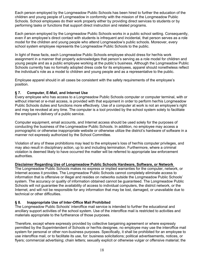Each person employed by the Longmeadow Public Schools has been hired to further the education of the children and young people of Longmeadow in conformity with the mission of the Longmeadow Public Schools. School employees do their work properly either by providing direct services to students or by performing tasks or functions that support direct instruction and related programs.

Each person employed by the Longmeadow Public Schools works in a public school setting. Consequently, even if an employee's direct contact with students is infrequent and incidental, that person serves as a role model for the children and young people who attend Longmeadow's public schools. Moreover, every school system employee represents the Longmeadow Public Schools to the public.

In light of these facts, each Longmeadow Public Schools employee should dress for her/his work assignment in a manner that properly acknowledges that person's serving as a role model for children and voung people and as a public employee working at the public's business. Although the Longmeadow Public Schools currently has no formally adopted dress code for its employees, apparel should nonetheless reflect the individual's role as a model to children and young people and as a representative to the public.

Employee apparel should in all cases be consistent with the safety requirements of the employee's position.

#### $§ 7.$ **Computer, E-Mail, and Internet Use**

Every employee who has access to a Longmeadow Public Schools computer or computer terminal, with or without internet or e-mail access, is provided with that equipment in order to perform her/his Longmeadow Public Schools duties and functions more effectively. Use of a computer at work is not an employee's right and may be revoked at any time. The computer is a tool provided by the school system solely to facilitate the employee's delivery of a public service.

Computer equipment, email accounts, and Internet access should be used solely for the purposes of conducting the business of the Longmeadow Public Schools. In addition, no employee may access a pornographic or otherwise inappropriate website or otherwise utilize the district's hardware of software in a manner not expressly authorized by the School Committee.

Violation of any of these prohibitions may lead to the employee's loss of her/his computer privileges, and may also result in disciplinary action, up to and including termination. Furthermore, where a criminal violation is deemed likely to have occurred the matter will be referred to appropriate law enforcement authorities.

### Disclaimer Regarding Use of Longmeadow Public Schools Hardware, Software, or Network

The Longmeadow Public Schools makes no express or implied warranties for the computer, network, or Internet access it provides. The Longmeadow Public Schools cannot completely eliminate access to information that is offensive or illegal and resides on networks outside the Longmeadow Public Schools' system. The accuracy or quality of information obtained cannot be quaranteed. The Longmeadow Public Schools will not guarantee the availability of access to individual computers, the district network, or the Internet, and will not be responsible for any information that may be lost, damaged, or unavailable due to technical or other difficulties.

#### $\S 8.$ Inappropriate Use of Inter-Office Mail Prohibited

The Longmeadow Public Schools' interoffice mail service is intended to further the educational and ancillary support activities of the school system. Use of the interoffice mail is restricted to activities and materials appropriate to the furtherance of those purposes.

Therefore, except where expressly provided by collective bargaining agreement or where expressly permitted by the Superintendent of Schools or her/his designee, no employee may use the interoffice mail system for personal or other non-business purposes. Specifically, it shall be prohibited for an employee to use interoffice mail, or to facilitate its use, for: business solicitations; political advertisements, notices, or flyers; commercial advertising; chain letters; sexually explicit or otherwise vulgar or offensive material; the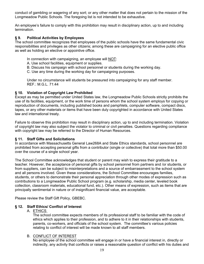conduct of gambling or wagering of any sort; or any other matter that does not pertain to the mission of the Longmeadow Public Schools. The foregoing list is not intended to be exhaustive.

An employee's failure to comply with this prohibition may result in disciplinary action, up to and including termination.

#### § 9. **Political Activities by Employees**

The school committee recognizes that employees of the public schools have the same fundamental civic responsibilities and privileges as other citizens; among these are campaigning for an elective public office as well as holding an elective or appointive office.

In connection with campaigning, an employee will NOT:

- A. Use school facilities, equipment or supplies.
- B. Discuss his campaign with school personnel or students during the working day.
- C. Use any time during the working day for campaigning purposes.

Under no circumstance will students be pressured into campaigning for any staff member. REF.: M.G.L. 71:44

### § 10. Violation of Copyright Law Prohibited

Except as may be permitted under United States law, the Longmeadow Public Schools strictly prohibits the use of its facilities, equipment, or the work time of persons whom the school system employs for copying or reproduction of documents, including published books and pamphlets, computer software, compact discs, tapes, or any other materials or items that have been duly copyrighted in accordance with United States law and international treaty.

Failure to observe this prohibition may result in disciplinary action, up to and including termination. Violation of copyright law may also subject the violator to criminal or civil penalties. Questions regarding compliance with copyright law may be referred to the Director of Human Resources.

### § 11. Staff Gifts and Solicitations

In accordance with Massachusetts General Law268A and State Ethics standards, school personnel are prohibited from accepting personal gifts from a contributor (single or collective) that total more than \$50.00 over the course of a single school year.

The School Committee acknowledges that student or parent may wish to express their gratitude to a teacher. However, the acceptance of personal gifts by school personnel from partners and /or students, or from suppliers, can be subject to misinterpretations and a source of embarrassment to the school system and all persons involved. Given these considerations, the School Committee encourages families, students, or others to demonstrate their personal appreciation through other modes of expression such as contributions to a Longmeadow Public School program (e.g. scholarship, media center, leveled book collection, classroom materials, educational fund, etc.). Other means of expression, such as items that are principally sentimental in nature or of insignificant financial value, are acceptable.

Please review the Staff Gift Policy, GBEBC.

### § 12. Staff Ethics/ Conflict of Interest

### A. ETHICS

The school committee expects members of its professional staff to be familiar with the code of ethics which applies to their profession, and to adhere to it in their relationships with students, parents, co-workers, and officials of the school system. The committee's various policies relating to conflict of interest will be made known to all staff members.

### **B. CONFLICT OF INTEREST**

No employee of the school committee will engage in or have a financial interest in, directly or indirectly, any activity that conflicts or raises a reasonable question of conflict with his duties and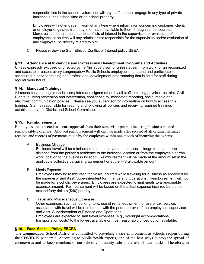responsibilities in the school system; nor will any staff member engage in any type of private business during school time or on school property.

Employees will not engage in work of any type where information concerning customer, client, or employer originates from any information available to them through school sources. Moreover, as there should be no conflicts of interest in the supervision or evaluation of employees, at no time will any administrator responsible for the supervision and/or evaluation of any employee, be directly related to him.

 $C_{\cdot}$ Please review the Staff Ethics / Conflict of Interest policy GBEA

### § 13. Attendance at In-Service and Professional Development Programs and Activities

Unless expressly excused or directed by her/his supervisor, or unless absent from work for an recognized and excusable reason, every Longmeadow Public Schools employee is to attend and participate in scheduled in-service training and professional development programming that is held for staff during regular work hours.

### § 14. Mandated Trainings

All mandatory trainings must be completed and signed off on by all staff including physical restraint, Civil Rights, bullying prevention and intervention, confidentiality, mandated reporting, social media and electronic communication policies. Please see you supervisor for information on how to access this training. Staff is responsible for reading and following all policies and receiving required trainings established by the District and School Committee.

### § 15. Reimbursements

Employees are expected to secure approval from their supervisor prior to incurring business-related reimbursable expenses. Allowed reimbursement will only be made after receipt of all original itemized receipts and records of payments made by the employee within one month of incurring the expense.

А. **Business Mileage** 

Business travel will be reimbursed to an employee at the lesser mileage from either the distance from the person's residence to the business location or from the employee's normal work location to the business location. Reimbursement will be made at the amount set in the applicable collective bargaining agreement or at the IRS allowable amount.

 $B<sub>1</sub>$ **Meals Expense** 

Employees may be reimbursed for meals incurred while traveling for business as approved by the supervisor and Asst. Superintendent for Finance and Operations. Reimbursement will not be made for alcoholic beverages. Employees are expected to limit meals to a reasonable expense amount. Reimbursement will be based on the actual expense incurred but not to exceed forty dollars (\$40) per day.

 $C.$ **Travel and Miscellaneous Expenses** 

> Other expenses, such as; parking, tolls, use of rental equipment, or use of taxi service, associated with travel will be reimbursed with the prior approval of the employee's supervisor and Asst. Superintendent of Finance and Operations. Employees are expected to limit travel expenses (e.g., overnight accommodations,

transportation costs) to the lowest available or most reasonably priced option available.

### § 16. Face Masks - Policy EBCFA

The Longmeadow School District is committed to providing a safe environment as schools reopen during the COVID-19 pandemic. According to public health experts, one of the best ways to stop the spread of coronavirus and to keep members of our school community safe is the use of face masks. Therefore, in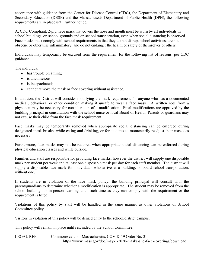accordance with guidance from the Center for Disease Control (CDC), the Department of Elementary and Secondary Education (DESE) and the Massachusetts Department of Public Health (DPH), the following requirements are in place until further notice.

A, CDC Compliant, 2-ply, face mask that covers the nose and mouth must be worn by all individuals in school buildings, on school grounds and on school transportation, even when social distancing is observed. Face masks must comply with school requirements in that they do not disrupt school activities, are not obscene or otherwise inflammatory, and do not endanger the health or safety of themselves or others.

Individuals may temporarily be excused from the requirement for the following list of reasons, per CDC guidance:

The individual:

- has trouble breathing;
- $\bullet$  is unconscious;
- $\bullet$  is incapacitated;
- cannot remove the mask or face covering without assistance.  $\bullet$

In addition, the District will consider modifying the mask requirement for anyone who has a documented medical, behavioral or other condition making it unsafe to wear a face mask. A written note from a physician may be necessary for consideration of a modification. Final modifications are approved by the building principal in consultation with the school nurse or local Board of Health. Parents or guardians may not excuse their child from the face mask requirement.

Face masks may be temporarily removed when appropriate social distancing can be enforced during designated mask breaks, while eating and drinking, or for students to momentarily readjust their masks as necessary.

Furthermore, face masks may not be required when appropriate social distancing can be enforced during physical education classes and while outside.

Families and staff are responsible for providing face masks, however the district will supply one disposable mask per student per week and at least one disposable mask per day for each staff member. The district will supply a disposable face mask for individuals who arrive at a building, or board school transportation, without one.

If students are in violation of the face mask policy, the building principal will consult with the parent/guardians to determine whether a modification is appropriate. The student may be removed from the school building for in-person learning until such time as they can comply with the requirement or the requirement is lifted.

Violations of this policy by staff will be handled in the same manner as other violations of School Committee policy.

Visitors in violation of this policy will be denied entry to the school/district campus.

This policy will remain in place until rescinded by the School Committee.

### Commonwealth of Massachusetts, COVID-19 Order No. 31 -**LEGAL REF.:** https://www.mass.gov/doc/may-1-2020-masks-and-face-coverings/download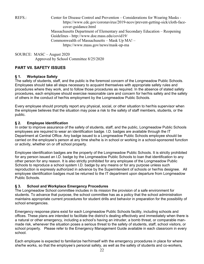$REFS$ .

Center for Disease Control and Prevention – Considerations for Wearing Masks https://www.cdc.gov/coronavirus/2019-ncov/prevent-getting-sick/cloth-facecover-guidance.html Massachusetts Department of Elementary and Secondary Education – Reopening

Guidelines - http://www.doe.mass.edu/covid19/ Commonwealth of Massachusetts - Mask Up MA! -

https://www.mass.gov/news/mask-up-ma

SOURCE: MASC – August 2020 Approved by School Committee 8/25/2020

# **PART VII. SAFETY ISSUES**

#### $§$  1. **Workplace Safety**

The safety of students, staff, and the public is the foremost concern of the Longmeadow Public Schools. Employees should take all steps necessary to acquaint themselves with appropriate safety rules and procedures where they work, and to follow those procedures as required. In the absence of stated safety procedures, each employee should exercise reasonable care and concern for her/his safety and the safety of others in the conduct of her/his employment by the Longmeadow Public Schools.

Every employee should promptly report any physical, social, or other situation to her/his supervisor when the employee believes that the situation may pose a risk to the safety of staff members, students, or the public.

#### $§ 2.$ **Employee Identification**

In order to improve assurance of the safety of students, staff, and the public, Longmeadow Public Schools employees are required to wear an identification badge. I.D. badges are available through the IT Department at Central Office. Any badge issued to a Longmeadow Public Schools employee should be carried on the employee's person at any time she/he is in school or working in a school-sponsored function or activity, whether on or off school property.

Employee identification badges are the property of the Longmeadow Public Schools. It is strictly prohibited for any person issued an I.D. badge by the Longmeadow Public Schools to loan that identification to any other person for any reason. It is also strictly prohibited for any employee of the Longmeadow Public Schools to reproduce a school system I.D. badge by any means or for any purpose unless such reproduction is expressly authorized in advance by the Superintendent of schools or her/his designee. All employee identification badges must be returned to the IT department upon departure from Longmeadow Public Schools.

### $\S 3.$ **School and Workplace Emergency Procedures**

The Longmeadow School committee includes in its mission the provision of a safe environment for students. To advance that purpose, the school committee has as a policy that the school administration maintains appropriate current procedures for student drills and behavior in preparation for the possibility of school emergencies.

Emergency response plans exist for each Longmeadow Public Schools facility, including schools and offices. These plans are intended to facilitate the district's dealing effectively and immediately when there is a natural or other emergency, including a school's having an intruder, a bomb threat, or comparable manmade risk, whenever the situation poses a serious threat to the safety of students, staff, school visitors, or school property. Please refer to the Emergency Management Guide available in each classroom in every school.

Each employee is expected to familiarize her/himself with the emergency procedures in place for where she/he works, so that the employee's personal safety, as well as the safety of students and co-workers,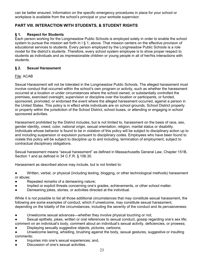can be better ensured. Information on the specific emergency procedures in place for your school or workplace is available from the school's principal or your worksite supervisor.

# PART VIII. INTERACTION WITH STUDENTS, & STUDENT RIGHTS

#### $§$  1. **Respect for Students**

Each person working for the Longmeadow Public Schools is employed solely in order to enable the school system to pursue the mission set forth in  $\sqrt{5}$  1, above. That mission centers on the effective provision of educational services to students. Every person employed by the Longmeadow Public Schools is a role model for the district's students. Therefore, every school system employee is to show proper respect to students as individuals and as impressionable children or young people in all of her/his interactions with students.

#### $§$  2. **Sexual Harassment**

# File: ACAB

Sexual Harassment will not be tolerated in the Longmeadow Public Schools. The alleged harassment must involve conduct that occurred within the school's own program or activity, such as whether the harassment occurred at a location or under circumstances where the school owned, or substantially controlled the premises, exercised oversight, supervision or discipline over the location or participants, or funded, sponsored, promoted, or endorsed the event where the alleged harassment occurred, against a person in the United States. This policy is in effect while individuals are on school grounds, School District property or property within the jurisdiction of the School District, school buses, or attending or engaging in school sponsored activities.

Harassment prohibited by the District includes, but is not limited to, harassment on the basis of race, sex, gender identity, creed, color, national origin, sexual orientation, religion, marital status or disability. Individuals whose behavior is found to be in violation of this policy will be subject to disciplinary action up to and including suspension or expulsion pursuant to disciplinary codes. Employees who have been found to violate this policy will be subject to discipline up to and including, termination of employment, subject to contractual disciplinary obligations.

Sexual harassment means "sexual harassment" as defined in Massachusetts General Law, Chapter 151B, Section 1 and as defined in 34 C.F.R. § 106.30.

Harassment as described above may include, but is not limited to:

Written, verbal, or physical (including texting, blogging, or other technological methods) harassment  $\bullet$ or abuse:

- Repeated remarks of a demeaning nature;  $\bullet$
- Implied or explicit threats concerning one's grades, achievements, or other school matter.  $\bullet$
- Demeaning jokes, stories, or activities directed at the individual.

While it is not possible to list all those additional circumstances that may constitute sexual harassment, the following are some examples of conduct, which if unwelcome, may constitute sexual harassment, depending on the totality of the circumstances, including the severity of the conduct and its pervasiveness:

- Unwelcome sexual advances—whether they involve physical touching or not;  $\bullet$
- Sexual epithets, jokes, written or oral references to sexual conduct, gossip regarding one's sex life; comment on an individual's body, comment about an individual's sexual activity, deficiencies, or prowess;
- Displaying sexually suggestive objects, pictures, cartoons;

Unwelcome leering, whistling, brushing against the body, sexual gestures, suggestive or insulting comments:

- Inquiries into one's sexual experiences; and,
- Discussion of one's sexual activities.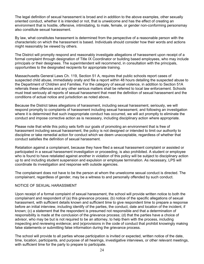The legal definition of sexual harassment is broad and in addition to the above examples, other sexually oriented conduct, whether it is intended or not, that is unwelcome and has the effect of creating an environment that is hostile, offensive, intimidating, to male, female, or gender non-conforming personsmay also constitute sexual harassment.

By law, what constitutes harassment is determined from the perspective of a reasonable person with the characteristic on which the harassment is based. Individuals should consider how their words and actions might reasonably be viewed by others.

The District will promptly respond and reasonably investigate allegations of harassment upon receipt of a formal complaint through designation of Title IX Coordinator or building based employees, who may include principals or their designees. The superintendent will recommend, in consultation with the principals. opportunities to the designated recipients for appropriate training.

Massachusetts General Laws Ch. 119, Section 51 A, requires that public schools report cases of suspected child abuse, immediately orally and file a report within 48 hours detailing the suspected abuse to the Department of Children and Families. For the category of sexual violence, in addition to Section 51A referrals these offences and any other serious matters shall be referred to local law enforcement. Schools must treat seriously all reports of sexual harassment that meet the definition of sexual harassment and the conditions of actual notice and jurisdiction as noted above..

Because the District takes allegations of harassment, including sexual harassment, seriously, we will respond promptly to complaints of harassment including sexual harassment, and following an investigation where it is determined that such inappropriate conduct has occurred, we will act promptly to eliminate the conduct and impose corrective action as is necessary, including disciplinary action where appropriate.

Please note that while this policy sets forth our goals of promoting an environment that is free of harassment including sexual harassment, the policy is not designed or intended to limit our authority to discipline or take remedial action for conduct which we deem unacceptable, regardless of whether that conduct satisfies the definition of sexual harassment.

Retaliation against a complainant, because they have filed a sexual harassment complaint or assisted or participated in a sexual harassment investigation or proceeding, is also prohibited. A student or employee who is found to have retaliated against another in violation of this policy will be subject to disciplinary action up to and including student suspension and expulsion or emplovee termination. As necessary, LPS will coordinate its investigation and response with outside agencies.

The complainant does not have to be the person at whom the unwelcome sexual conduct is directed. The complainant, regardless of gender, may be a witness to and personally offended by such conduct.

### NOTICE OF SEXUAL HARASSMENT

Upon receipt of a formal complaint of sexual harassment, the school will provide written notice to both the complainant and respondent of (a) this grievance process; (b) notice of the specific allegations of sexual harassment, with sufficient details known and sufficient time to give respondent time to prepare a response before an initial interview, including identify of the parties, the conduct, date and location of the incident, if known; (c) a statement that the respondent is presumed not responsible and that a determination of responsibility is made at the conclusion of the grievance process; (d) that the parties have a choice of advisor, who may be but is not required to be an attorney, to help them with the process, including inspecting and reviewing evidence; and (e)provisions in the code of conduct that prohibit knowingly making false statements or submitting false information during the grievance process.

The school will provide to all parties whose participation is invited or expected, written notice of the date, time, location, participants, and purpose of all hearings, investigative interviews, or other relevant meetings, with sufficient time for the party to prepare to participate.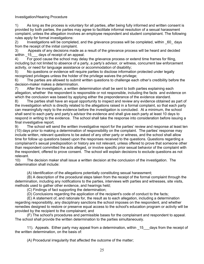### **Investigation/Hearing Procedure**

 $1)$ As long as the process is voluntary for all parties, after being fully informed and written consent is provided by both parties, the parties may agree to facilitate informal resolution of a sexual harassment complaint, unless the allegation involves an employee respondent and student complainant. The following rules apply for formal investigations:

Investigations will be completed, and the grievance process will be completed, within 60 days  $(2)$ from the receipt of the initial complaint.

Appeals of any decisions made as a result of the grievance process will be heard and decided 3) within 15 days of receipt of an appeal.

For good cause the school may delay the grievance process or extend time frames for filing.  $4)$ including but not limited to absence of a party, a party's advisor, or witness, concurrent law enforcement activity, or need for language assistance or accommodation of disability;

No questions or evidence will require parties to disclose information protected under legally 5) recognized privileges unless the holder of the privilege waives the privilege;

The parties are allowed to submit written questions to challenge each other's credibility before the 6) decision-maker makes a determination.

After the investigation, a written determination shall be sent to both parties explaining each 7) allegation, whether the respondent is responsible or not responsible, including the facts and evidence on which the conclusion was based by applying either the preponderance of the evidence standard.

8) The parties shall have an equal opportunity to inspect and review any evidence obtained as part of the investigation which is directly related to the allegations raised in a formal complaint, so that each party can meaningfully reply to the evidence before the investigation is concluded. At a minimum, the school shall send to each party and party's advisor the evidence and shall give each party at least 10 days to respond in writing to the evidence. The school shall take the response into consideration before issuing a final investigative report.

The school will send the written investigative report for the parties' review and response at least ten 9) (10) days prior to making a determination of responsibility on the complaint. The parties' response may include written, relevant questions to be asked of any other party or witness, and the school shall allow time for follow up questions based upon the responses received to the questions. Questions regarding a complainant's sexual predisposition or history are not relevant, unless offered to prove that someone other than respondent committed the acts alleged, or involve specific prior sexual behavior of the complaint with the respondent, offered to prove consent. The school will explain decisions to exclude questions as not relevant.

The decision maker shall issue a written decision at the conclusion of the investigation. The  $10<sub>1</sub>$ determination shall include:

(A) Identification of the allegations potentially constituting sexual harassment;

(B) A description of the procedural steps taken from the receipt of the formal complaint through the determination, including any notifications to the parties, interviews with parties and witnesses, site visits, methods used to gather other evidence, and hearings held;

(C) Findings of fact supporting the determination;

(D) Conclusions regarding the application of the recipient's code of conduct to the facts;

(E) A statement of, and rationale for, the result as to each allegation, including a determination regarding responsibility, any disciplinary sanctions the school imposes on the respondent, and whether remedies designed to restore or preserve equal access to the school's education program or activity will be provided by the recipient to the complainant; and

(F) The school's procedures and permissible bases for the complainant and respondent to appeal. The school shall provide the written determination to the parties simultaneously.

11). Appeals. Either party may appeal from a determination, within 15 days from the receipt of the written determination, on the basis of:

(A) Procedural irregularity that affected the outcome of the matter: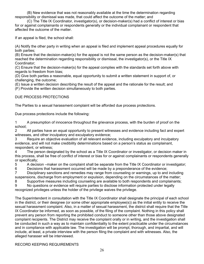(B) New evidence that was not reasonably available at the time the determination regarding responsibility or dismissal was made, that could affect the outcome of the matter; and

(C) The Title IX Coordinator, investigator(s), or decision-maker(s) had a conflict of interest or bias for or against complainants or respondents generally or the individual complainant or respondent that affected the outcome of the matter.

If an appeal is filed, the school shall:

(A) Notify the other party in writing when an appeal is filed and implement appeal procedures equally for both parties;

(B) Ensure that the decision-maker(s) for the appeal is not the same person as the decision-maker(s) that reached the determination regarding responsibility or dismissal, the investigator(s), or the Title IX Coordinator:

(C) Ensure that the decision-maker(s) for the appeal complies with the standards set forth above with regards to freedom from bias;

(D) Give both parties a reasonable, equal opportunity to submit a written statement in support of, or challenging, the outcome;

(E) Issue a written decision describing the result of the appeal and the rationale for the result; and (F) Provide the written decision simultaneously to both parties.

# DUE PROCESS PROTECTIONS

The Parties to a sexual harassment complaint will be afforded due process protections.

Due process protections include the following:

 $\mathbf{1}$ A presumption of innocence throughout the grievance process, with the burden of proof on the school;

All parties have an equal opportunity to present witnesses and evidence including fact and expert  $\overline{2}$ witnesses, and other inculpatory and exculpatory evidence;

Require an objective evaluation of all relevant evidence, including exculpatory and inculpatory 3 evidence, and will not make credibility determinations based on a person's status as complainant, respondent, or witness;

The person designated by the school as a Title IX Coordinator or investigator, or decision maker in  $\mathbf{\Lambda}$ this process, shall be free of conflict of interest or bias for or against complainants or respondents generally or specifically:

5 A decision –maker on the complaint shall be separate from the Title IX Coordinator or investigator;

6 Decisions that harassment occurred will be made by a preponderance of the evidence;

7 Disciplinary sanctions and remedies may range from counseling or warnings, up to and including suspensions, discharge from employment or expulsion, depending on the circumstances of the matter;

8 Supportive measures including counseling are available to both respondents and complainants;

9 No questions or evidence will require parties to disclose information protected under legally recognized privileges unless the holder of the privilege waives the privilege.

The Superintendent in consultation with the Title IX Coordinator shall designate the principal of each school in the district, or their designee (or some other appropriate employee(s)) as the initial entity to receive the sexual harassment complaint. Also, in a matter of sexual harassment, the district shall require that the Title IX Coordinator be informed, as soon as possible, of the filing of the complaint. Nothing in this policy shall prevent any person from reporting the prohibited conduct to someone other than those above designated complaint recipients. The District may receive the complaint orally or in writing, and the investigation shall be conducted in such a way as to maintain confidentiality to the extent practicable under the circumstances and in compliance with applicable law. The investigation will be prompt, thorough, and impartial, and will include, at least, a private interview with the person filing the complaint and with witnesses. Also, the alleged harasser will be interviewed.

**RECORD KEEPING REQUIREMENTS**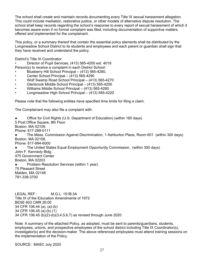The school shall create and maintain records documenting every Title IX sexual harassment allegation. This could include mediation, restorative justice, or other models of alternative dispute resolution. The school shall keep records regarding the school's response to every report of sexual harassment of which it becomes aware even if no formal complaint was filed, including documentation of supportive matters offered and implemented for the complainant.

This policy, or a summary thereof that contain the essential policy elements shall be distributed by the Longmeadow School District to its students and employees and each parent or quardian shall sign that they have received and understand the policy.

District's Title IX Coordinator:

Director of Pupil Services, (413) 565-4200 ext. 4019 Person(s) to receive a complaint in each District School:

- Blueberry Hill School Principal (413) 565-4280,
- Center School Principal (413) 565-4290
- Wolf Swamp Road School Principal (413) 565-4270
- Glenbrook Middle School Principal (413) 565-4250
- Williams Middle School Principal (413) 565-4260
- Longmeadow High School Principal (413) 565-4220

Please note that the following entities have specified time limits for filing a claim.

The Complainant may also file a complaint with:

Office for Civil Rights (U.S. Department of Education) (within 180 days) 5 Post Office Square, 8th Floor Boston, MA 02109. Phone: 617-289-0111 The Mass. Commission Against Discrimination, 1 Ashburton Place, Room 601 (within 300 days)  $\bullet$ Boston, MA 02108. Phone: 617-994-6000 The United States Equal Employment Opportunity Commission, (within 300 days) John F. Kennedy Bldg. 475 Government Center Boston, MA 02203 Problem Resolution Services (within 1 year)  $\bullet$ 75 Pleasant Street Malden, MA 02148 781-338-3700

**LEGAL REF.:** M.G.L. 151B:3A Title IX of the Education Amendments of 1972 BESE 603 CMR 26:00 34 CFR 106.44 (a), (a)-(b) 34 CFR 106.45 (a)-(b) (1) 34 CFR 106.45 (b)(2)-(b)(3,4,5,6,7) as revised through June 2020

Note: A summary of the attached Policy, as adopted, must be sent to parents/guardians, students, employees, unions, and prospective employees of the school district including Title IX Coordinator(s). investigator(s) and the decision-maker. The above referenced employees must attend training sessions on the implementation of the Policy.

SOURCE: MASC July 2020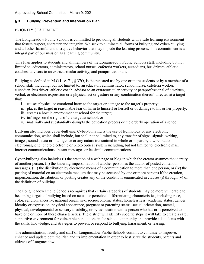# Approved by School Committee: March 9, 2021

#### **Bullying Prevention and Intervention Plan**  $§ 3.$

# PRIORITY STATEMENT

The Longmeadow Public Schools is committed to providing all students with a safe learning environment that fosters respect, character and integrity. We seek to eliminate all forms of bullying and cyber-bullying and all other harmful and disruptive behavior that may impede the learning process. This commitment is an integral part of our mission as a learning community.

This Plan applies to students and all members of the Longmeadow Public Schools staff, including but not limited to: educators, administrators, school nurses, cafeteria workers, custodians, bus drivers, athletic coaches, advisors to an extracurricular activity, and paraprofessionals.

Bullying as defined in M.G.L. c. 71, § 370, is the repeated use by one or more students or by a member of a school staff including, but not limited to, an educator, administrator, school nurse, cafeteria worker, custodian, bus driver, athletic coach, advisor to an extracurricular activity or paraprofessional of a written, verbal, or electronic expression or a physical act or gesture or any combination thereof, directed at a target that:

- i. causes physical or emotional harm to the target or damage to the target's property;
- ii. places the target in reasonable fear of harm to himself or herself or of damage to his or her property;
- iii. creates a hostile environment at school for the target;
- iv. infringes on the rights of the target at school; or
- y. materially and substantially disrupts the education process or the orderly operation of a school.

Bullying also includes cyber-bullying. Cyber-bullying is the use of technology or any electronic communication, which shall include, but shall not be limited to, any transfer of signs, signals, writing, images, sounds, data or intelligence or any nature transmitted in whole or in part by a wire, radio, electromagnetic, photo electronic or photo optical system including, but not limited to, electronic mail. internet communications, instant messages or facsimile communications.

Cyber-bullying also includes (i) the creation of a web page or blog in which the creator assumes the identity of another person, (ii) the knowing impersonation of another person as the author of posted content or messages, (iii) the distribution by electronic means of a communication to more than one person, or (iv) the posting of material on an electronic medium that may be accessed by one or more persons if the creation. impersonation, distribution, or posting creates any of the conditions enumerated in clauses (i) through (v) of the definition of bullying.

The Longmeadow Public Schools recognizes that certain categories of students may be more vulnerable to becoming targets of bullying based on actual or perceived differentiating characteristics, including race, color, religion, ancestry, national origin, sex, socioeconomic status, homelessness, academic status, gender identity or expression, physical appearance, pregnant or parenting status, sexual orientation, mental, physical, developmental or sensory disability, or by association with a person who has or is perceived to have one or more of these characteristics. The district will identify specific steps it will take to create a safe, supportive environment for vulnerable populations in the school community and provide all students with the skills, knowledge, and strategies to prevent or respond to bullying, harassment, or teasing.

The administration, faculty and staff of Longmeadow Public Schools commit to continue to improve, enhance and update both the Plan and its implementation in order to best serve the students, parents and citizens of Longmeadow.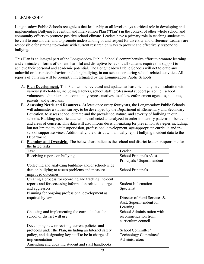# **I. LEADERSHIP**

Longmeadow Public Schools recognizes that leadership at all levels plays a critical role in developing and implementing Bullying Prevention and Intervention Plan ("Plan") in the context of other whole school and community efforts to promote positive school climate. Leaders have a primary role in teaching students to be civil to one another and to promote understanding of and respect for diversity and difference. Leaders are responsible for staying up-to-date with current research on ways to prevent and effectively respond to bullying.

This Plan is an integral part of the Longmeadow Public Schools' comprehensive effort to promote learning and eliminate all forms of violent, harmful and disruptive behavior; all students require this support to achieve their personal and academic potential. The Longmeadow Public Schools will not tolerate any unlawful or disruptive behavior, including bullying, in our schools or during school-related activities. All reports of bullying will be promptly investigated by the Longmeadow Public Schools.

- A. Plan Development. This Plan will be reviewed and updated at least biennially in consultation with various stakeholders, including teachers, school staff, professional support personnel, school volunteers, administrators, community representatives, local law enforcement agencies, students, parents, and guardians.
- B. Assessing Needs and Resources. At least once every four years, the Longmeadow Public Schools will administer a student survey, to be developed by the Department of Elementary and Secondary Education, to assess school climate and the prevalence, nature, and severity of bullying in our schools. Building-specific data will be collected an analyzed in order to identify patterns of behavior and areas of concern. This data will also inform decision-making for prevention strategies including, but not limited to, adult supervision, professional development, age-appropriate curricula and inschool support services. Additionally, the district will annually report bullying incident data to the Department.
- C. Planning and Oversight. The below chart indicates the school and district leaders responsible for the listed tasks:

| Task                                                     | Leader                       |
|----------------------------------------------------------|------------------------------|
| Receiving reports on bullying                            | School Principals / Asst.    |
|                                                          | Principals / Superintendent  |
| Collecting and analyzing building- and/or school-wide    |                              |
| data on bullying to assess problems and measure          | School Principals            |
| improved outcomes                                        |                              |
| Creating a process for recording and tracking incident   |                              |
| reports and for accessing information related to targets | <b>Student Information</b>   |
| and aggressors                                           | Specialist                   |
| Planning for ongoing professional development as         |                              |
| required by law                                          | Director of Pupil Services & |
|                                                          | Asst. Superintendent for     |
|                                                          | Learning                     |
| Choosing and implementing the curricula that the         | School Administration with   |
| school or district will use                              | recommendation from          |
|                                                          | curriculum council           |
| Developing new or revising current policies and          |                              |
| protocols under the Plan, including an Internet safety   | School Committee/            |
| policy, and designating key staff to be in charge of     | Technology Committee/        |
| implementation                                           | Administrators               |
| Amending and updating student and staff handbooks        |                              |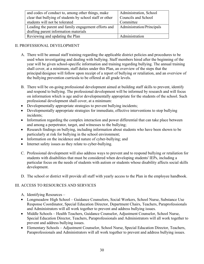| and codes of conduct to, among other things, make        | Administration, School    |
|----------------------------------------------------------|---------------------------|
| clear that bullying of students by school staff or other | Councils and School       |
| students will not be tolerated                           | Committee                 |
| Leading the parent and family engagement efforts and     | Administration/Principals |
| drafting parent information materials                    |                           |
| Reviewing and updating the Plan                          | Administration            |

# **II. PROFESSIONAL DEVELOPMENT**

- A. There will be annual staff training regarding the applicable district policies and procedures to be used when investigating and dealing with bullying. Staff members hired after the beginning of the year will be given school-specific information and training regarding bullying. The annual training shall cover, at a minimum, staff duties under this Plan, an overview of the steps that the principal/designee will follow upon receipt of a report of bullying or retaliation, and an overview of the bullying prevention curricula to be offered at all grade levels.
- B. There will be on-going professional development aimed at building staff skills to prevent, identify and respond to bullying. The professional development will be informed by research and will focus on information which is age and/or developmentally appropriate for the students of the school. Such professional development shall cover, at a minimum:
- Developmentally appropriate strategies to prevent bullying incidents;
- Developmentally appropriate strategies for immediate, effective interventions to stop bullying incidents;
- Information regarding the complex interaction and power differential that can take place between  $\bullet$ and among a perpetrator, target, and witnesses to the bullying;
- Research findings on bullying, including information about students who have been shown to be  $\bullet$ particularly at risk for bullying in the school environment;
- Information on the incidence and nature of cyber-bullying; and  $\bullet$
- Internet safety issues as they relate to cyber-bullying.  $\bullet$
- C. Professional development will also address ways to prevent and to respond bullying or retaliation for students with disabilities that must be considered when developing students' IEPs, including a particular focus on the needs of students with autism or students whose disability affects social skills development.
- D. The school or district will provide all staff with yearly access to the Plan in the employee handbook.

# **III. ACCESS TO RESOURCES AND SERVICES**

- A. Identifying Resources –
- Longmeadow High School Guidance Counselors, Social Workers, School Nurse, Substance Use Response Coordinator, Special Education Director, Department Chairs, Teachers, Paraprofessionals and Administrators will all work together to prevent and address bullying issues.
- Middle Schools Health Teachers, Guidance Counselor, Adjustment Counselor, School Nurse,  $\bullet$ Special Education Director, Teachers, Paraprofessionals and Administrators will all work together to prevent and address bullying issues.
- Elementary Schools Adjustment Counselor, School Nurse, Special Education Director, Teachers, Paraprofessionals and Administrators will all work together to prevent and address bullying issues.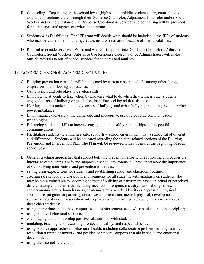- B. Counseling Depending on the school level, (high school, middle or elementary) counseling is available to students either through their Guidance Counselor, Adjustment Counselor and/or Social Worker and/or the Substance Use Response Coordinator. Services and counseling will be provided for both targets and aggressors when appropriate.
- C. Students with Disabilities –The IEP team will decide what should be included in the IEPs of students who may be vulnerable to bullying, harassment, or retaliation because of their disabilities.
- D. Referral to outside services When and where it is appropriate, Guidance Counselors, Adjustment Counselors, Social Workers, Substance Use Response Coordinator or Administrators will make outside referrals to out-of-school services for students and families.

# IV. ACADEMIC AND NON-ACADEMIC ACTIVITIES

- A. Bullying prevention curricula will be informed by current research which, among other things, emphasizes the following approaches:
- Using scripts and role plays to develop skills
- $\bullet$ Empowering students to take action by knowing what to do when they witness other students engaged in acts of bullying or retaliation, including seeking adult assistance
- $\bullet$ Helping students understand the dynamics of bullying and cyber-bullying, including the underlying power imbalance
- Emphasizing cyber-safety, including safe and appropriate use of electronic communication  $\bullet$ technologies
- Enhancing students' skills to increase engagement in healthy relationships and respectful  $\bullet$ communications
- Facilitating students' learning in a safe, supportive school environment that is respectful of diversity  $\bullet$ and difference. Students will be educated regarding the student-related sections of the Bullying Prevention and Intervention Plan. The Plan will be reviewed with students at the beginning of each school year.
- B. General teaching approaches that support bullying prevention efforts. The following approaches are integral to establishing a safe and supportive school environment. These underscore the importance of our bullying intervention and prevention initiatives:
- setting clear expectations for students and establishing school and classroom routines;  $\bullet$
- creating safe school and classroom environments for all students, with emphasis on students who may be more vulnerable to becoming a target of bullying or harassment based on actual or perceived differentiating characteristics, including race, color, religion, ancestry, national origin, sex, socioeconomic status, homelessness, academic status, gender identity or expression, physical appearance, pregnant or parenting status, sexual orientation, mental, physical, developmental or sensory disability or by association with a person who has or is perceived to have one or more of these characteristics:
- $\bullet$ using appropriate and positive responses and reinforcement, even when students require discipline;
- using positive behavioral supports;  $\bullet$
- encouraging adults to develop positive relationships with students;  $\bullet$
- modeling, teaching, and rewarding pro-social, healthy, and respectful behaviors;
- using positive approaches to behavioral health, including collaborative problem-solving, conflict  $\bullet$ resolution training, teamwork, and positive behavioral supports that aid in social and emotional development:
- using the Internet safely; and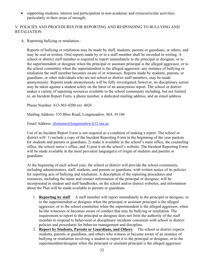supporting students; interest and participation in non-academic and extracurricular activities,  $\bullet$ particularly in their areas of strength.

# V. POLICIES AND PROCEDURES FOR REPORTING AND RESPONDING TO BULLYING AND **RETALIATION**

A. Reporting bullying or retaliation –

Reports of bullying or retaliation may be made by staff, students, parents or guardians, or others, and may be oral or written. Oral reports made by or to a staff member shall be recorded in writing. A school or district staff member is required to report immediately to the principal or designee, or to the superintendent or designee when the principal or assistant principal is the alleged aggressor, or to the school committee when the superintendent is the alleged aggressor, any instance of bullying or retaliation the staff member becomes aware of or witnesses. Reports made by students, parents, or guardians, or other individuals who are not school or district staff members, may be made anonymously. Reports made anonymously will be fully investigated; however, no disciplinary action may be taken against a student solely on the basis of an anonymous report. The school or district makes a variety of reporting resources available to the school community including, but not limited to, an Incident Report Form, a phone number, a dedicated mailing address, and an email address.

Phone Number: 413-565-4200 ext. 4026

Mailing Address: 535 Bliss Road, Longmeadow, MA 01106

Email Address: jfontaine@longmeadow.k12.ma.us

Use of an Incident Report Form is not required as a condition of making a report. The school or district will: 1) include a copy of the Incident Reporting Form in the beginning of the year packets for students and parents or guardians; 2) make it available in the school's main office, the counseling office, the school nurse's office, and 3) post it on the school's website. The Incident Reporting Form will be made available in the most prevalent language(s) of origin of students and parents or guardians.

At the beginning of each school year, the school or district will provide the school community, including administrators, staff, students, and parents or guardians, with written notice of its policies for reporting acts of bullying and retaliation. A description of the reporting procedures and resources, including the name and contact information of the principal or designee, will be incorporated in student and staff handbooks, on the school and/or district websites, and information about the Plan will be made available to parents or guardians.

- 1. **Reporting by staff.** A staff member will report immediately to the principal or designee, or to the superintendent or designee when the principal or assistant principal is the alleged aggressor, or to the school committee when the superintendent is the alleged aggressor, when he/she witnesses or becomes aware of conduct that may be bullying or retaliation. The requirement to report to the principal or designee does not limit the authority of the staff member to respond to behavioral or disciplinary incidents consistent with school or district policies and procedures for behavior management and discipline.
- 2. Report by Students, Parents or Guardians, and Others. The school or district expects students, parents or guardians, and others who witness or become aware of an instance of bullying or retaliation involving a student to report it to the principal or designee, or to the superintendent/designee when the principal or assistant principal is the alleged aggressor.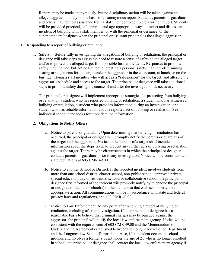Reports may be made anonymously, but no disciplinary action will be taken against an alleged aggressor solely on the basis of an anonymous report. Students, parents or guardians, and others may request assistance from a staff member to complete a written report. Students will be provided practical, safe, private and age-appropriate ways to report and discuss an incident of bullying with a staff member, or with the principal or designee, or the superintendent/designee when the principal or assistant principal is the alleged aggressor.

- B. Responding to a report of bullying or retaliation
	- 1. Safety. Before fully investigating the allegations of bullying or retaliation, the principal or designee will take steps to assess the need to restore a sense of safety to the alleged target and/or to protect the alleged target from possible further incidents. Responses to promote safety may include, but not be limited to, creating a personal safety Plan; pre-determining seating arrangements for the target and/or the aggressor in the classroom, at lunch, or on the bus; identifying a staff member who will act as a "safe person" for the target; and altering the aggressor's schedule and access to the target. The principal or designee will take additional steps to promote safety during the course of and after the investigation, as necessary.

The principal or designee will implement appropriate strategies for protecting from bullying or retaliation a student who has reported bullying or retaliation, a student who has witnessed bullying or retaliation, a student who provides information during an investigation, or a student who has reliable information about a reported act of bullying or retaliation. See individual school handbooks for more detailed information.

# 2. Obligations to Notify Others.

- a. Notice to parents or guardians. Upon determining that bullying or retaliation has occurred, the principal or designee will promptly notify the parents or guardians of the target and the aggressor. Notice to the parents of a target shall include information about the steps taken to prevent any further acts of bullying or retaliation against the target. There may be circumstances in which the principal or designee contacts parents or guardians prior to any investigation. Notice will be consistent with state regulations at 603 CMR 49.00.
- b. Notice to another School or District. If the reported incident involves students from more than one school district, charter school, non-public school, approved private special education day or residential school, or collaborative school, the principal or designee first informed of the incident will promptly notify by telephone the principal or designee of the other school(s) of the incident so that each school may take appropriate action. All communications will be in accordance with state and federal privacy laws and regulations, and 603 CMR 49.00.
- c. Notice to Law Enforcement. At any point after receiving a report of bullying or retaliation, including after an investigation, if the principal or designee has a reasonable basis to believe that criminal charges may be pursued against the aggressor, the principal will notify the local law enforcement agency. Notice will be consistent with the requirements of 603 CMR 49.00 and the Memorandum of Understanding Agreement established between the Longmeadow Police Department and the Longmeadow School Department. Also, if an incident occurs on school grounds and involves a former student under the age of 21 who is no longer enrolled in school, the principal or designee shall contact the local law enforcement agency if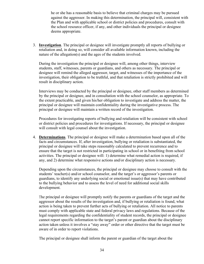he or she has a reasonable basis to believe that criminal charges may be pursued against the aggressor. In making this determination, the principal will, consistent with the Plan and with applicable school or district policies and procedures, consult with the school resource officer, if any, and other individuals the principal or designee deems appropriate.

3. Investigation. The principal or designee will investigate promptly all reports of bullying or retaliation and, in doing so, will consider all available information known, including the nature of the allegation(s) and the ages of the students involved.

During the investigation the principal or designee will, among other things, interview students, staff, witnesses, parents or guardians, and others as necessary. The principal or designee will remind the alleged aggressor, target, and witnesses of the importance of the investigation, their obligation to be truthful, and that retaliation is strictly prohibited and will result in disciplinary action.

Interviews may be conducted by the principal or designee, other staff members as determined by the principal or designee, and in consultation with the school counselor, as appropriate. To the extent practicable, and given his/her obligation to investigate and address the matter, the principal or designee will maintain confidentiality during the investigative process. The principal or designee will maintain a written record of the investigation.

Procedures for investigating reports of bullying and retaliation will be consistent with school or district policies and procedures for investigations. If necessary, the principal or designee will consult with legal counsel about the investigation.

4. Determinations. The principal or designee will make a determination based upon all of the facts and circumstances. If, after investigation, bullying or retaliation is substantiated, the principal or designee will take steps reasonably calculated to prevent recurrence and to ensure that the target is not restricted in participating in school or in benefiting from school activities. The principal or designee will: 1) determine what remedial action is required, if any, and 2) determine what responsive actions and/or disciplinary action is necessary.

Depending upon the circumstances, the principal or designee may choose to consult with the students' teacher(s) and/or school counselor, and the target's or aggressor's parents or guardians, to identify any underlying social or emotional issue(s) that may have contributed to the bullying behavior and to assess the level of need for additional social skills development.

The principal or designee will promptly notify the parents or guardians of the target and the aggressor about the results of the investigation and, if bullying or retaliation is found, what action is being taken to prevent further acts of bullying or retaliation. All notice to parents must comply with applicable state and federal privacy laws and regulations. Because of the legal requirements regarding the confidentiality of student records, the principal or designee cannot report specific information to the target's parent or guardian about the disciplinary action taken unless it involves a "stay away" order or other directive that the target must be aware of in order to report violations.

The principal or designee shall inform the parent or guardian of the target about the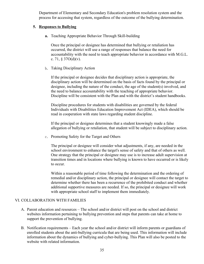Department of Elementary and Secondary Education's problem resolution system and the process for accessing that system, regardless of the outcome of the bullying determination.

# **5. Responses to Bullying**

**a.** Teaching Appropriate Behavior Through Skill-building

Once the principal or designee has determined that bullying or retaliation has occurred, the district will use a range of responses that balance the need for accountability with the need to teach appropriate behavior in accordance with M.G.L. c. 71,  $$37O(d)(v)$ .

b. Taking Disciplinary Action

If the principal or designee decides that disciplinary action is appropriate, the disciplinary action will be determined on the basis of facts found by the principal or designee, including the nature of the conduct, the age of the student(s) involved, and the need to balance accountability with the teaching of appropriate behavior. Discipline will be consistent with the Plan and with the district's student handbooks.

Discipline procedures for students with disabilities are governed by the federal Individuals with Disabilities Education Improvement Act (IDEA), which should be read in cooperation with state laws regarding student discipline.

If the principal or designee determines that a student knowingly made a false allegation of bullying or retaliation, that student will be subject to disciplinary action.

c. Promoting Safety for the Target and Others

The principal or designee will consider what adjustments, if any, are needed in the school environment to enhance the target's sense of safety and that of others as well. One strategy that the principal or designee may use is to increase adult supervision at transition times and in locations where bullying is known to have occurred or is likely to occur.

Within a reasonable period of time following the determination and the ordering of remedial and/or disciplinary action, the principal or designee will contact the target to determine whether there has been a recurrence of the prohibited conduct and whether additional supportive measures are needed. If so, the principal or designee will work with appropriate school staff to implement them immediately.

# VI. COLLABORATION WITH FAMILIES

- A. Parent education and resources The school and/or district will post on the school and district websites information pertaining to bullying prevention and steps that parents can take at home to support the prevention of bullying.
- B. Notification requirements Each year the school and/or district will inform parents or guardians of enrolled students about the anti-bullying curricula that are being used. This information will include information about the dynamics of bullying and cyber-bullying. This Plan will also be posted to the website with related information.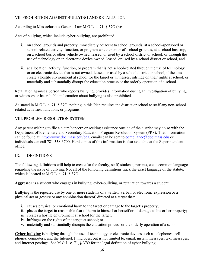# VII. PROHIBITION AGAINST BULLYING AND RETALIATION

According to Massachusetts General Law M.G.L. c. 71, § 37O (b):

Acts of bullying, which include cyber-bullying, are prohibited:

- on school grounds and property immediately adjacent to school grounds, at a school-sponsored or i. school-related activity, function, or program whether on or off school grounds, at a school bus stop, on a school bus or other vehicle owned, leased, or used by a school district or school; or through the use of technology or an electronic device owned, leased, or used by a school district or school, and
- ii. at a location, activity, function, or program that is not school-related through the use of technology or an electronic device that is not owned, leased, or used by a school district or school, if the acts create a hostile environment at school for the target or witnesses, infringe on their rights at school, or materially and substantially disrupt the education process or the orderly operation of a school.

Retaliation against a person who reports bullying, provides information during an investigation of bullying, or witnesses or has reliable information about bullying is also prohibited.

As stated in M.G.L. c. 71, § 37O, nothing in this Plan requires the district or school to staff any non-school related activities, functions, or programs.

# VIII. PROBLEM RESOLUTION SYSTEM

Any parent wishing to file a claim/concern or seeking assistance outside of the district may do so with the Department of Elementary and Secondary Education Program Resolution System (PRS). That information can be found at: http://www.doe.mass.edu/pqa, emails can be sent to compliance@doe.mass.edu or individuals can call 781-338-3700. Hard copies of this information is also available at the Superintendent's office

### $IX$ **DEFINITIONS**

The following definitions will help to create for the faculty, staff, students, parents, etc. a common language regarding the issue of bullying. Not all of the following definitions track the exact language of the statute, which is located at M.G.L. c. 71,  $\S 370$ .

Aggressor is a student who engages in bullying, cyber-bullying, or retaliation towards a student.

**Bullying** is the repeated use by one or more students of a written, verbal, or electronic expression or a physical act or gesture or any combination thereof, directed at a target that:

- i. causes physical or emotional harm to the target or damage to the target's property;
- ii. places the target in reasonable fear of harm to himself or herself or of damage to his or her property;
- iii. creates a hostile environment at school for the target;
- iv. infringes on the rights of the target at school; or
- v. materially and substantially disrupts the education process or the orderly operation of a school.

Cyber-bullying is bullying through the use of technology or electronic devices such as telephones, cell phones, computers, and the Internet. It includes, but is not limited to, email, instant messages, text messages, and Internet postings. See M.G.L. c. 71, § 37O for the legal definition of cyber-bullying.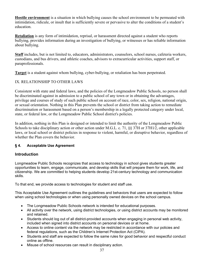**Hostile environment** is a situation in which bullying causes the school environment to be permeated with intimidation, ridicule, or insult that is sufficiently severe or pervasive to alter the conditions of a student's education.

**Retaliation** is any form of intimidation, reprisal, or harassment directed against a student who reports bullying, provides information during an investigation of bullying, or witnesses or has reliable information about bullying.

Staff includes, but is not limited to, educators, administrators, counselors, school nurses, cafeteria workers, custodians, and bus drivers, and athletic coaches, advisors to extracurricular activities, support staff, or paraprofessionals.

**Target** is a student against whom bullying, cyber-bullying, or retaliation has been perpetrated.

# IX. RELATIONSHIP TO OTHER LAWS

Consistent with state and federal laws, and the policies of the Longmeadow Public Schools, no person shall be discriminated against in admission to a public school of any town or in obtaining the advantages, privilege and courses of study of such public school on account of race, color, sex, religion, national origin, or sexual orientation. Nothing in this Plan prevents the school or district from taking action to remediate discrimination or harassment based on a person's membership in a legally protected category under local, state, or federal law, or the Longmeadow Public School district's policies.

In addition, nothing in this Plan is designed or intended to limit the authority of the Longmeadow Public Schools to take disciplinary action or other action under M.G.L. c. 71,  $\S$ § 37H or 37H1/2, other applicable laws, or local school or district policies in response to violent, harmful, or disruptive behavior, regardless of whether the Plan covers the behavior.

### $§$ 4. **Acceptable Use Agreement**

# **Introduction**

Longmeadow Public Schools recognizes that access to technology in school gives students greater opportunities to learn, engage, communicate, and develop skills that will prepare them for work, life, and citizenship. We are committed to helping students develop 21st-century technology and communication skills.

To that end, we provide access to technologies for student and staff use.

This Acceptable Use Agreement outlines the guidelines and behaviors that users are expected to follow when using school technologies or when using personally owned devices on the school campus.

- The Longmeadow Public Schools network is intended for educational purposes.  $\bullet$
- All activity over the network, using district technologies, or using district accounts may be monitored and retained.
- Students should log out of all district-provided accounts when engaging in personal web activity.  $\bullet$ included when signed into district accounts on personal devices or at home.
- Access to online content via the network may be restricted in accordance with our policies and  $\bullet$ federal regulations, such as the Children's Internet Protection Act (CIPA).
- Students and staff are expected to follow the same rules for good behavior and respectful conduct  $\bullet$ online as offline.
- Misuse of school resources can result in disciplinary action.  $\bullet$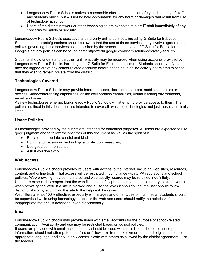- Longmeadow Public Schools makes a reasonable effort to ensure the safety and security of staff and students online, but will not be held accountable for any harm or damages that result from use of technology at school.
- Users of the district network or other technologies are expected to alert IT staff immediately of any  $\bullet$ concerns for safety or security.

Longmeadow Public Schools uses several third party online services, including G Suite for Education. Students and parents/guardians should be aware that the use of those services may involve agreement to policies governing those services as established by the vendor. In the case of G Suite for Education, Google's privacy policies can be found here: https://edu.google.com/k-12-solutions/privacy-security

Students should understand that their online activity may be recorded when using accounts provided by Longmeadow Public Schools, including their G Suite for Education account. Students should verify that they are logged out of any school-related accounts before engaging in online activity not related to school that they wish to remain private from the district.

# **Technologies Covered**

Longmeadow Public Schools may provide Internet access, desktop computers, mobile computers or devices, videoconferencing capabilities, online collaboration capabilities, virtual learning environments, email, and more.

As new technologies emerge, Longmeadow Public Schools will attempt to provide access to them. The policies outlined in this document are intended to cover all available technologies, not just those specifically listed.

# **Usage Policies**

All technologies provided by the district are intended for education purposes. All users are expected to use good judgment and to follow the specifics of this document as well as the spirit of it:

- Be safe, appropriate, careful and kind;
- Don't try to get around technological protection measures;  $\bullet$
- Use good common sense;
- Ask if you don't know.

# **Web Access**

Longmeadow Public Schools provides its users with access to the Internet, including web sites, resources, content, and online tools. That access will be restricted in compliance with CIPA regulations and school policies. Web browsing may be monitored and web activity records may be retained indefinitely. Users are expected to respect that the web filter is a safety precaution, and should not try to circumvent it when browsing the Web. If a site is blocked and a user believes it shouldn't be, the user should follow district protocol by submitting the site to the helpdesk for review.

Web filters are not 100% effective, especially with images and other types of multimedia. Students should be supervised while using technology to access the web and users should notify the helpdesk if inappropriate material is accessed, even if accidentally.

# **Email**

Longmeadow Public Schools may provide users with email accounts for the purpose of school-related communication. Availability and use may be restricted based on school policies.

If users are provided with email accounts, they should be used with care. Users should not send personal information; should not attempt to open files or follow links from unknown or untrusted origin; should use appropriate language; and should only communicate with others as allowed by the district agreement **or** the teacher.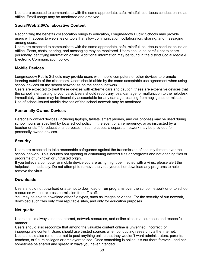Users are expected to communicate with the same appropriate, safe, mindful, courteous conduct online as offline. Email usage may be monitored and archived.

# Social/Web 2.0/Collaborative Content

Recognizing the benefits collaboration brings to education, Longmeadow Public Schools may provide users with access to web sites or tools that allow communication, collaboration, sharing, and messaging among users.

Users are expected to communicate with the same appropriate, safe, mindful, courteous conduct online as offline. Posts, chats, sharing, and messaging may be monitored. Users should be careful not to share personally identifying information online. Additional information may be found in the district Social Media & Electronic Communication policy.

# **Mobile Devices**

Longmeadow Public Schools may provide users with mobile computers or other devices to promote learning outside of the classroom. Users should abide by the same acceptable use agreement when using school devices off the school network as on the school network.

Users are expected to treat these devices with extreme care and caution; these are expensive devices that the school is entrusting to your care. Users should report any loss, damage, or malfunction to the helpdesk immediately. Users may be financially accountable for any damage resulting from negligence or misuse. Use of school-issued mobile devices off the school network may be monitored.

# **Personally Owned Devices**

Personally owned devices (including laptops, tablets, smart phones, and cell phones) may be used during school hours as specified by local school policy, in the event of an emergency, or as instructed by a teacher or staff for educational purposes. In some cases, a separate network may be provided for personally owned devices.

# **Security**

Users are expected to take reasonable safeguards against the transmission of security threats over the school network. This includes not opening or distributing infected files or programs and not opening files or programs of unknown or untrusted origin.

If you believe a computer or mobile device you are using might be infected with a virus, please alert the helpdesk immediately. Do not attempt to remove the virus yourself or download any programs to help remove the virus.

# **Downloads**

Users should not download or attempt to download or run programs over the school network or onto school resources without express permission from IT staff.

You may be able to download other file types, such as images or videos. For the security of our network, download such files only from reputable sites, and only for education purposes.

# **Netiquette**

Users should always use the Internet, network resources, and online sites in a courteous and respectful manner.

Users should also recognize that among the valuable content online is unverified, incorrect, or inappropriate content. Users should use trusted sources when conducting research via the Internet. Users should also remember not to post anything online that they wouldn't want administrators, parents, teachers, or future colleges or employers to see. Once something is online, it's out there forever—and can sometimes be shared and spread in ways you never intended.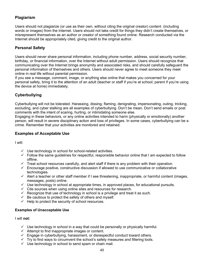# **Plagiarism**

Users should not plagiarize (or use as their own, without citing the original creator) content (including words or images) from the Internet. Users should not take credit for things they didn't create themselves, or misrepresent themselves as an author or creator of something found online. Research conducted via the Internet should be appropriately cited, giving credit to the original author.

# **Personal Safety**

Users should never share personal information, including phone number, address, social security number, birthday, or financial information, over the Internet without adult permission. Users should recognize that communicating over the Internet brings anonymity and associated risks, and should carefully safequard the personal information of themselves and others. Users should never agree to meet someone they meet online in real life without parental permission.

If you see a message, comment, image, or anything else online that makes you concerned for your personal safety, bring it to the attention of an adult (teacher or staff if you're at school; parent if you're using the device at home) immediately.

# Cyberbullying

Cyberbullying will not be tolerated. Harassing, dissing, flaming, denigrating, impersonating, outing, tricking, excluding, and cyber stalking are all examples of cyberbullying. Don't be mean. Don't send emails or post comments with the intent of scaring, hurting, or intimidating someone else.

Engaging in these behaviors, or any online activities intended to harm (physically or emotionally) another person, will result in severe disciplinary action and loss of privileges. In some cases, cyberbullying can be a crime. Remember that your activities are monitored and retained.

# **Examples of Acceptable Use**

I will:

- $\checkmark$  Use technology in school for school-related activities.
- $\checkmark$  Follow the same quidelines for respectful, responsible behavior online that I am expected to follow offline.
- $\checkmark$  Treat school resources carefully, and alert staff if there is any problem with their operation.
- $\checkmark$  Encourage positive, constructive discussion if allowed to use communicative or collaborative technologies.
- $\checkmark$  Alert a teacher or other staff member if I see threatening, inappropriate, or harmful content (images, messages, posts) online.
- $\checkmark$  Use technology in school at appropriate times, in approved places, for educational pursuits.
- $\checkmark$  Cite sources when using online sites and resources for research.
- $\checkmark$  Recognize that use of technology in school is a privilege and treat it as such.
- $\checkmark$  Be cautious to protect the safety of others and myself.
- $\checkmark$  Help to protect the security of school resources.

# **Examples of Unacceptable Use**

I will not:

- $\checkmark$  Use technology in school in a way that could be personally or physically harmful.
- $\checkmark$  Attempt to find inappropriate images or content.
- $\checkmark$  Engage in cyberbullying, harassment, or disrespectful conduct toward others.
- $\checkmark$  Try to find ways to circumvent the school's safety measures and filtering tools.
- $\checkmark$  Use technology in school to send spam or chain mail.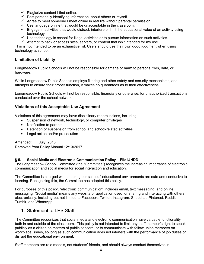- $\checkmark$  Plagiarize content I find online.
- $\checkmark$  Post personally identifying information, about others or myself.
- $\checkmark$  Agree to meet someone I meet online in real life without parental permission.
- $\checkmark$  Use language online that would be unacceptable in the classroom.
- $\checkmark$  Engage in activities that would distract, interfere or limit the educational value of an activity using technology.
- $\checkmark$  Use technology in school for illegal activities or to pursue information on such activities.
- $\checkmark$  Attempt to hack or access sites, servers, or content that isn't intended for my use.

This is not intended to be an exhaustive list. Users should use their own good judgment when using technology at school.

# **Limitation of Liability**

Longmeadow Public Schools will not be responsible for damage or harm to persons, files, data, or hardware.

While Longmeadow Public Schools employs filtering and other safety and security mechanisms, and attempts to ensure their proper function, it makes no guarantees as to their effectiveness.

Longmeadow Public Schools will not be responsible, financially or otherwise, for unauthorized transactions conducted over the school network.

# **Violations of this Acceptable Use Agreement**

Violations of this agreement may have disciplinary repercussions, including:

- Suspension of network, technology, or computer privileges  $\bullet$
- Notification to parents  $\bullet$
- Detention or suspension from school and school-related activities
- Legal action and/or prosecution

Amended: **July, 2018** Removed from Policy Manual 12/13/2017

#### $§ 5.$ Social Media and Electronic Communication Policy - File IJNDD

The Longmeadow School Committee (the "Committee") recognizes the increasing importance of electronic communication and social media for social interaction and education.

The Committee is charged with ensuring our schools' educational environments are safe and conducive to learning. Recognizing this, the Committee has adopted this policy.

For purposes of this policy, "electronic communication" includes email, text messaging, and online messaging. "Social media" means any website or application used for sharing and interacting with others electronically, including but not limited to Facebook, Twitter, Instagram, Snapchat, Pinterest, Reddit, Tumblr, and WhatsApp.

# 1. Statement to LPS Staff

The Committee recognizes that social media and electronic communication have valuable functionality both in and outside of the classroom. This policy is not intended to limit any staff member's right to speak publicly as a citizen on matters of public concern, or to communicate with fellow union members on workplace issues, so long as such communication does not interfere with the performance of job duties or disrupt the educational environment.

Staff members are role models, not students' friends, and should always conduct themselves in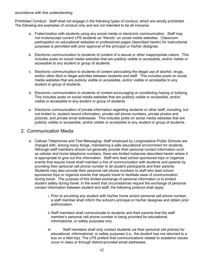accordance with this understanding.

Prohibited Conduct: Staff shall not engage in the following types of conduct, which are strictly prohibited. The following are examples of conduct only and are not intended to be all inclusive.

- a. Fraternization with students using any social media or electronic communication. Staff may not invite/accept current LPS students as "friends" on social media websites. Classroom participation on educational websites or professional pages (described herein) for instructional purposes is permitted with prior approval of the principal or his/her designee.
- b. Electronic communication to students of content of a sexual or other inappropriate nature. This includes posts on social media websites that are publicly visible or accessible, and/or visible or accessible to any student or group of students.
- c. Electronic communication to students of content advocating the illegal use of alcohol, drugs, and/or other illicit or illegal activities between students and staff. This includes posts on social media websites that are publicly visible or accessible, and/or visible or accessible to any student or group of students.
- d. Electronic communication to students of content encouraging or constituting hazing or bullying. This includes posts on social media websites that are publicly visible or accessible, and/or visible or accessible to any student or group of students.
- e. Electronic communication of private information regarding students or other staff, including, but not limited to, student record information, private cell phone numbers, private photos and pictures, and private email addresses. This includes posts on social media websites that are publicly visible or accessible, and/or visible or accessible to any student or group of students.

# 2. Communication Media

- a. Cellular Telephones and Text Messaging-Staff employed by Longmeadow Public Schools are charged with, among many things, maintaining a safe educational environment for students. Although staff members should not generally provide their personal contact information such as cellular and home telephone numbers, there are limited instances described herein where it is appropriate to give out this information. Staff who lead school sponsored trips or organize events that require travel shall maintain a line of communication with students and parents by providing their personal cell phone number to all student participants and their parents. Students may also provide their personal cell phone numbers to staff who lead school sponsored trips or organize events that require travel to facilitate ease of communication during travel. The purpose of this limited exchange of personal information is to protect student safety during travel. In the event that circumstances require the exchange of personal contact information between student and staff, the following protocol shall apply.
	- i. Prior to providing any student with his/her home and/or personal cell phone number, a staff member shall inform the school's principal or his/her designee and obtain prior authorization
	- ii. Staff members shall communicate to students and their parents that the staff member's personal cell phone number is being provided for educational, informational, or safety purposes only.
	- Staff members shall only contact students via their personal cell phones for iii. educational, informational, or safety purposes (i.e., the student has not returned to a bus on a field trip). The LPS prefers that communications related to academic issues occur in class or through district-provided email addresses.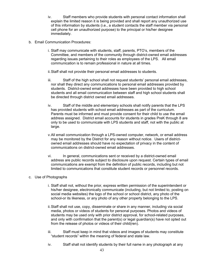- Staff members who provide students with personal contact information shall iv. explain the limited reason it is being provided and shall report any unauthorized use of this information by students (i.e., a student contacts the staff member via personal cell phone for an unauthorized purpose) to the principal or his/her designee immediately.
- b. Email Communication Procedures:
	- i. Staff may communicate with students, staff, parents, PTO's, members of the Committee, and members of the community through district-owned email addresses regarding issues pertaining to their roles as employees of the LPS. All email communication is to remain professional in nature at all times.
	- ii. Staff shall not provide their personal email addresses to students.
	- iii. Staff of the high school shall not request students' personal email addresses, nor shall they direct any communications to personal email addresses provided by students. District-owned email addresses have been provided to high school students and all email communication between staff and high school students shall be directed through district owned email addresses.
	- iv. Staff of the middle and elementary schools shall notify parents that the LPS has provided students with school email addresses as part of the curriculum. Parents must be informed and must provide consent for their child to use the email address assigned. District email accounts for students in grades PreK through 8 are only to be used to communicate with LPS students and staff, not with the public at large.
	- v. All email communication through a LPS-owned computer, network, or email address may be monitored by the District for any reason without notice. Users of districtowned email addresses should have no expectation of privacy in the content of communications on district-owned email addresses.
	- vi. In general, communications sent or received by a district-owned email address are public records subject to disclosure upon request. Certain types of email communications are exempt from the definition of public records, including but not limited to communications that constitute student records or personnel records.

### c. Use of Photographs

- i. Staff shall not, without the prior, express written permission of the superintendent or his/her designee, electronically communicate (including, but not limited to, posting on social media websites) the logo of the school or school district, any photo of the school-or its likeness, or any photo of any other property belonging to the LPS.
- ii. Staff shall not use, copy, disseminate or share in any manner, including via social media, photos or videos of students for personal purposes. Photos and videos of students may be used only with prior district approval, for school-related purposes, and only with confirmation that the parent(s) or legal guardian(s) have not opted out from the release of photos or videos of their child(ren).
- Staff must keep in mind that videos and images of students may constitute iii. "student records" within the meaning of federal and state law.
- Staff shall not identify students by their full name in any photograph at any iv.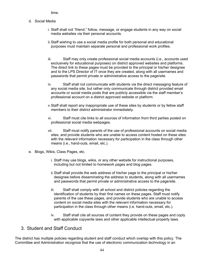time.

- d Social Media
	- i. Staff shall not "friend," follow, message, or engage students in any way on social media websites via their personal accounts.
	- ii. Staff wishing to use a social media profile for both personal and educational purposes must maintain separate personal and professional work profiles.
	- iii. Staff may only create professional social media accounts (i.e., accounts used exclusively for educational purposes) on district approved websites and platforms. The direct link to these pages must be provided to the principal or his/her designee and to the LPS Director of IT once they are created, along with all usernames and passwords that permit private or administrative access to the page/site.
	- iv. Staff shall not communicate with students via the direct messaging feature of any social media site, but rather only communicate through district provided email accounts or social media posts that are publicly accessible via the staff member's professional account on a district approved website or platform.
	- v. Staff shall report any inappropriate use of these sites by students or by fellow staff members to their district administrator immediately.
	- Staff must cite links to all sources of information from third parties posted on vi professional social media webpages.
	- Staff must notify parents of the use of professional accounts on social media vii. sites, and provide students who are unable to access content hosted on these sites with the relevant information necessary for participation in the class through other means (i.e., hand-outs, email, etc.).
- e. Blogs, Wikis, Class Pages, etc.
	- i. Staff may use blogs, wikis, or any other website for instructional purposes, including but not limited to homework pages and blog pages.
	- ii. Staff shall provide the web address of his/her page to the principal or his/her designee before disseminating the address to students, along with all usernames and passwords that permit private or administrative access to the page/site.
	- iii. Staff shall comply with all school and district policies regarding the identification of students by their first names on these pages. Staff must notify parents of the use these pages, and provide students who are unable to access content on social media sites with the relevant information necessary for participation in the class through other means (i.e. hand-outs, email, etc.).
	- iv. Staff shall cite all sources of content they provide on these pages and coply with applicable copywrite laws and other applicable intellectual property laws.

# 3. Student and Staff Conduct

The district has multiple policies regarding student and staff conduct which overlap with this policy. The Committee and Administration recognize that the use of electronic communication technology in an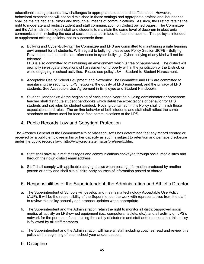educational setting presents new challenges to appropriate student and staff conduct. However, behavioral expectations will not be diminished in these settings and appropriate professional boundaries shall be maintained at all times and through all means of communications. As such, the District retains the right to moderate and restrict student and staff communication on District owned pages. The Committee and the Administration expect staff and students to maintain the same level of decorum in electronic communications, including the use of social media, as in face-to-face interactions. This policy is intended to supplement existing policies, not to supersede them.

a. Bullying and Cyber-Bullying: The Committee and LPS are committed to maintaining a safe learning environment for all students. With regard to bullying, please see Policy Section JICFB - Bullying Prevention, and, in particular, references to cyber-bullying. Cyber-bullying of any kind will not be tolerated.

LPS is also committed to maintaining an environment which is free of harassment. The district will promptly investigate allegations of harassment on property within the jurisdiction of the District, or while engaging in school activities. Please see policy JBA - Student-to-Student Harassment.

- b. Acceptable Use of School Equipment and Networks: The Committee and LPS are committed to maintaining the security of LPS networks, the quality of LPS equipment, and the privacy of LPS students. See Acceptable Use Agreement in Employee and Student Handbooks.
- c. Student Handbooks: At the beginning of each school year the building administrator or homeroom teacher shall distribute student handbooks which detail the expectations of behavior for LPS students and set rules for student conduct. Nothing contained in this Policy shall diminish those expectations and rules. The on-line behavior of both students and staff shall reflect the same standards as those used for face-to-face communications at the LPS.
- 4. Public Records Law and Copyright Protection

The Attorney General of the Commonwealth of Massachusetts has determined that any record created or received by a public employee in his or her capacity as such is subject to retention and perhaps disclosure under the public records law: http://www.sec.state.ma.us/pre/preidx.htm.

- a. Staff shall save all direct messages and communications conveyed through social media sites and through their own district email address.
- b. Staff shall comply with applicable copyright laws when posting information produced by another person or entity and shall cite all third-party sources of information posted or shared.

# 5. Responsibilities of the Superintendent, the Administration and Athletic Director

- a. The Superintendent of Schools will develop and maintain a technology Acceptable Use Policy (AUP). It will be the responsibility of the Superintendent to work with representatives from the staff to review this policy annually and propose updates when appropriate.
- b. The Superintendent and the Administration retain the right to monitor all district-approved social media, all activity on LPS-owned equipment (i.e., computers, tablets, etc.), and all activity on LPS's network for the purpose of maintaining the safety of students and staff and to ensure that this policy is followed by all staff members.
- c. The Superintendent and the Administration will have all staff including coaches read and review this policy at the beginning of each school year and/or season.
- 6. Discipline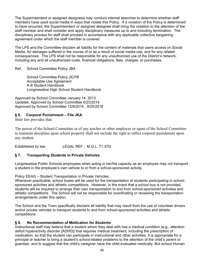The Superintendent or assigned designees may conduct internet searches to determine whether staff members have used social media in ways that violate this Policy. If a violation of the Policy is determined to have occurred, the Superintendent or assigned designee shall bring the violation to the attention of the staff member and shall consider and apply disciplinary measures up to and including termination. The disciplinary process for staff shall proceed in accordance with any applicable collective bargaining agreement under which the staff member is covered.

The LPS and the Committee disclaim all liability for the content of materials that users access on Social Media, for damages suffered in the course of or as a result of social media use, and for any related consequences. The LPS shall not be responsible for any unauthorized use of the District's network, including any and all unauthorized costs, financial obligations, fees, charges, or purchases.

Ref.: School Committee Policy JBA

**School Committee Policy JICFB** Acceptable Use Agreement K-8 Student Handbook Longmeadow High School Student Handbook

Approved by School Committee January 14, 2013 Updates: Approved by School Committee 6/23/2014 Approved by School Committee 12/8/2014, 9/25/2018

#### § 6. **Corporal Punishment - File JKA**

State law provides that:

The power of the School Committee or of any teacher or other employee or agent of the School Committee to maintain discipline upon school property shall not include the right to inflict corporal punishment upon any student.

Established by law LEGAL REF.: M.G.L. 71:37G

#### $§ 7.$ **Transporting Students in Private Vehicles**

Longmeadow Public Schools employees when acting in her/his capacity as an employee may not transport a student in the employee's own vehicle to or from a school-sponsored activity.

Policy EEAG - Student Transportation in Private Vehicles:

Whenever practicable, school buses will be used for the transportation of students participating in schoolsponsored activities and athletic competitions. However, in the event that a school bus is not provided, students will be required to arrange their own transportation to and from school-sponsored activities and athletic competitions. The School will not be responsible for coordinating or reviewing the transportation arrangements under this option.

The School and the Town specifically disclaim all liability that may result from the use of volunteer drivers and/or private vehicles to transport students to and from school-sponsored activities and athletic competitions.

#### $§ 8.$ No Recommendation of Medication for Students

Instructional staff may believe that a student whom they deal with has a medical condition (e.g., attention deficit hyperactivity disorder [ADHD]) that requires medical treatment, including the prescription of medication, so that the student can participate in instructional and other activities. It is appropriate for a principal or teacher to bring a student's school-related problems to the attention of the child's parent or guardian, and to suggest that the child's caregiver have the child evaluated medically. But school Human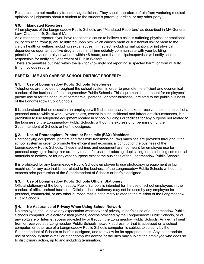Resources are not medically trained diagnosticians. They should therefore refrain from venturing medical opinions or judgments about a student to the student's parent, guardian, or any other party.

### § 9. **Mandated Reporters**

All employees of the Longmeadow Public Schools are "Mandated Reporters" as described in MA General Law. Chapter 119. Section 51A.

As a mandated reporter if you have reasonable cause to believe a child is suffering physical or emotional injury resulting from: (i) abuse inflicted upon him which causes harm or substantial risk of harm to the child's health or welfare, including sexual abuse; (ii) neglect, including malnutrition; or (iii) physical dependence upon an additive drug at birth, shall immediately communicate with your building principal/supervisor, orally or written, within 48 hours, and that principal/supervisor will notify shall be responsible for notifying Department of Public Welfare.

There are penalties outlined within the law for knowingly not reporting suspected harm, or from willfully filing frivolous reports.

# **PART IX. USE AND CARE OF SCHOOL DISTRICT PROPERTY**

#### Use of Longmeadow Public Schools Telephones  $§$  1.

Telephones are provided throughout the school system in order to promote the efficient and economical conduct of the business of the Longmeadow Public Schools. This equipment is not meant for employees' private use or for the conduct of commercial, personal, or other business unrelated to the public business of the Longmeadow Public Schools.

It is understood that on occasion an employee will find it necessary to make or receive a telephone call of a personal nature while at work. Nevertheless, except in such incidental and infrequent circumstances, it is prohibited to use telephone equipment located in school buildings or facilities for any purpose not related to the business of the Longmeadow Public Schools, without the express prior permission of the Superintendent of Schools or her/his designee.

### $\S 2.$ Use of Photocopiers, Printers or Facsimile (FAX) Machines

Photocopying equipment, printers and facsimile transmission (fax) machines are provided throughout the school system in order to promote the efficient and economical conduct of the business of the Longmeadow Public Schools. These machines and equipment are not meant for employee use for personal copying or faxing, nor are they meant for use in producing, duplicating, or distributing commercial materials or notices, or for any other purpose except the business of the Longmeadow Public Schools.

It is prohibited for any Longmeadow Public Schools employee to use photocopying equipment or fax machines for any use that is not related to the business of the Longmeadow Public Schools without the express prior permission of the Superintendent of Schools or her/his designee.

### $§ 3.$ Use of Longmeadow Public Schools Official Stationery

Official stationary of the Longmeadow Public Schools is intended for the use of school employees in the conduct of official school business. Official school stationary may not be used by any employee for personal, commercial, or any other purpose that is not directly related to the mission of the Longmeadow Public Schools.

### No Assurance of Privacy When Using School Network § 4.

No employee should have any expectation whatsoever of privacy in her/his use of a Longmeadow Public Schools computer, of electronic mail (e-mail) access provided by the Longmeadow Public Schools, or of any software or Internet access provided by or through the Longmeadow Public Schools. Any e-mail sent from or received at a Longmeadow Public Schools network address, or that is accessed on a school computer, or other use of a Longmeadow Public Schools computer, is subject to scrutiny by the Superintendent of Schools or her/his designee, and to review for its appropriateness. Any inappropriate use of school system e-mail or other computer access or facilities may subject the employee who does so to disciplinary action, up to and including termination.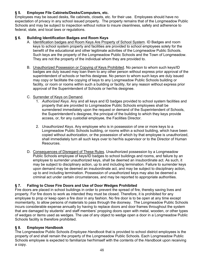### $§ 5.$ Employee File Cabinets/Desks/Computers, etc.

Employees may be issued desks, file cabinets, closets, etc. for their use. Employees should have no expectation of privacy in any school issued property. The property remains that of the Longmeadow Public Schools and may be subject to inspection without notice to insure cleanliness, safety and adherence to federal, state, and local laws or regulations.

#### $§6.$ **Building Identification Badges and Room Keys**

- A. Identification badges and Room Keys Are Property of School System. ID Badges and room keys to school system property and facilities are provided to school employees solely for the benefit of the educational and other legitimate activities of the Longmeadow Public Schools. Such keys are the property of the Longmeadow Public Schools and the Town of Longmeadow. They are not the property of the individual whom they are provided to.
- B. Unauthorized Possession or Copying of Keys Prohibited. No person to whom such keys/ID badges are duly issued may loan them to any other person without express prior approval of the superintendent of schools or her/his designee. No person to whom such keys are duly issued may copy or facilitate the copying of keys to any Longmeadow Public Schools building or facility, or room or rooms within such a building or facility, for any reason without express prior approval of the Superintendent of Schools or her/his designee.

# C. Surrender of Keys on Demand.

- 1. Authorized Keys. Any and all keys and ID badges provided to school system facilities and property that are provided to Longmeadow Public Schools employees shall be surrendered immediately upon the request or demand of the Superintendent of Schools, the Superintendent's designee, the principal of the building to which they keys provide access, or, for any custodial employee, the Facilities Director.
- 2. Unauthorized Keys. Any employee who is in possession of one or more keys to a Longmeadow Public Schools building, or rooms within a school building, which have been copied without authorization, or the possession of which by that employee is unauthorized, shall immediately turn all such keys over to her/his supervisor or to the Director of Human Resources.
- D. Consequences of Disregard of These Rules. Unauthorized possession by a Longmeadow Public Schools employee of keys/ID badges to school buildings and rooms, and failure by an employee to surrender unauthorized keys, shall be deemed an insubordinate act. As such, it may be subject to disciplinary action, up to and including termination. Failure to surrender keys upon demand may be deemed an insubordinate act, and may be subject to disciplinary action, up to and including termination. Possession of unauthorized keys may also be deemed a criminal act under certain circumstances, and may be reported to appropriate authorities.

### Failing to Close Fire Doors and Use of Door Wedges Prohibited § 7.

Fire doors are placed in school buildings in order to prevent the spread of fire, thereby saving lives and property. For fire doors to work as intended they must be closed. Therefore, it is prohibited for any employee to prop or keep open a fire door in any fashion. No fire door is to be open at any time except momentarily, to allow persons of materials to pass through the doorway. The Longmeadow Public Schools incurs considerable expense annually by having to replace doors and door frames throughout the system that are damaged by students' and staff members' propping doors open with metal, wooden, or other types of wedges or items used as wedges. The use of any object to wedge open a door in a Longmeadow Public Schools facility is therefore prohibited.

### **Emplovee Handbook S** 8.

The Longmeadow Public Schools *Employee Handbook* that is provided to school district employees is the property of and shall remain the property of the Longmeadow Public Schools. Each Longmeadow Public Schools employee is expected to familiarize her/himself with the contents of the *Handbook* upon receiving a copy.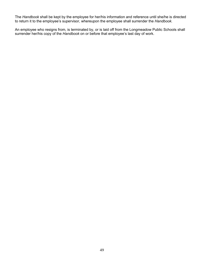The Handbook shall be kept by the employee for her/his information and reference until she/he is directed to return it to the employee's supervisor, whereupon the employee shall surrender the Handbook.

An employee who resigns from, is terminated by, or is laid off from the Longmeadow Public Schools shall surrender her/his copy of the Handbook on or before that employee's last day of work.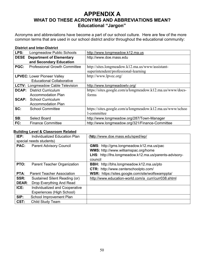# **APPENDIX A WHAT DO THESE ACRONYMS AND ABBREVIATIONS MEAN? Educational "Jargon"**

Acronyms and abbreviations have become a part of our school culture. Here are few of the more common terms that are used in our school district and/or throughout the educational community:

### **District and Inter-District**

| LPS:                               | Longmeadow Public Schools                | http://www.longmeadow.k12.ma.us                           |
|------------------------------------|------------------------------------------|-----------------------------------------------------------|
| <b>DESE</b>                        | <b>Department of Elementary</b>          | http://www.doe.mass.edu                                   |
|                                    | and Secondary Education                  |                                                           |
| PGC:                               | <b>Professional Growth Committee</b>     | http://sites.longmeadow.k12.ma.us/www/assistant-          |
|                                    |                                          | superintendent/professional-learning                      |
| <b>LPVEC: Lower Pioneer Valley</b> |                                          | http://www.lpvec.org/                                     |
|                                    | <b>Educational Collaborative</b>         |                                                           |
|                                    | <b>LCTV: Longmeadow Cable Television</b> | http://www.longmeadowtv.org/                              |
|                                    | <b>DCAP:</b> District Curriculum         | https://sites.google.com/a/longmeadow.k12.ma.us/www/docs- |
|                                    | <b>Accommodation Plan</b>                | forms                                                     |
| <b>SCAP:</b>                       | <b>School Curriculum</b>                 |                                                           |
|                                    | Accommodation Plan                       |                                                           |
| SC:                                | <b>School Committee</b>                  | https://sites.google.com/a/longmeadow.k12.ma.us/www/schoo |
|                                    |                                          | 1-committee                                               |
| SB:                                | Select Board                             | http://www.longmeadow.org/287/Town-Manager                |
| FC:                                | <b>Finance Committee</b>                 | http://www.longmeadow.org/321/Finance-Committee           |

### **Building Level & Classroom Related**

| IEP:                    | Individualized Education Plan     | (futp://www.doe.mass.edu/sped/iep/                     |
|-------------------------|-----------------------------------|--------------------------------------------------------|
| special needs students) |                                   |                                                        |
| PAC:                    | <b>Parent Advisory Council</b>    | <b>GMS:</b> http://gms.longmeadow.k12.ma.us/pac        |
|                         |                                   | WMS: http://www.williamspac.org/home                   |
|                         |                                   | LHS: http://lhs.longmeadow.k12.ma.us/parents-advisory- |
|                         |                                   | council                                                |
| PTO:                    | Parent Teacher Organization       | BBH: http://bhs.longmeadow.k12.ma.us/pto               |
|                         |                                   | <b>CTR:</b> http://www.centerschoolpto.com/            |
| PTA:                    | <b>Parent Teacher Association</b> | WSR: https://sites.google.com/site/wolfswamppta/       |
| SSR:                    | Sustained Silent Reading (or)     | http://www.education-world.com/a curr/curr038.shtml    |
| <b>DEAR:</b>            | Drop Everything And Read          |                                                        |
| ICE:                    | Individualized and Cooperative    |                                                        |
|                         | Experiences (High School)         |                                                        |
| SIP:                    | School Improvement Plan           |                                                        |
| CST:                    | Child Study Team                  |                                                        |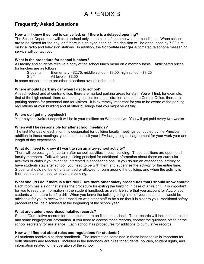# **APPENDIX B**

# **Frequently Asked Questions**

# How will I know if school is cancelled, or if there is a delayed opening?

The School Department will close school only in the case of extreme weather conditions. When schools are to be closed for the day, or if there is a delayed opening, the decision will be announced by 7:00 a.m. on local radio and television stations. In addition, the **SchoolMessenger** automated telephone messaging service will contact you.

### What is the procedure for school lunches?

All faculty and students receive a copy of the school lunch menu on a monthly basis. Anticipated prices for lunches are as follows:

Students: Elementary - \$2.75: middle school - \$3.00: high school - \$3.25

Staff: All levels- \$3.50

In some schools, there are other selections available for lunch.

### Where should I park my car when I get to school?

At each school and at central office, there are marked parking areas for staff. You will find, for example, that at the high school, there are parking spaces for administration, and at the Central Office, there are parking spaces for personnel and for visitors. It is extremely important for you to be aware of the parking regulations at your building and at other buildings that you might be visiting.

### Where do I get my paycheck?

Your paycheck/direct deposit will be in your mailbox on Wednesdays. You will get paid every two weeks.

### When will I be responsible for after school meetings?

The first Monday of each month is designated for building faculty meetings conducted by the Principal. In addition to these meetings, you should consult your LEA bargaining unit agreement for your work year and length of day expectation.

### What do I need to know if I want to run an after-school activity?

There will be postings for certain after school activities in each building. These positions are open to all faculty members. Talk with your building principal for additional information about these co-curricular activities or clubs if you might be interested in sponsoring one. If you do run an after-school activity or have students stay after school, you need to be with them and supervise the activity for the entire time. Students should not be left unattended or allowed to roam around the building, and when the activity is finished, students need to leave the building.

# What should I do if there is a fire drill? Are there other safety procedures that I should know about?

Each room has a sign that states the procedure for exiting the building in case of a fire drill. It is important for you to read the information in the student handbook as well. Be sure that you account for ALL of your students when there is a fire drill. When you leave the building bring a list of your students. It would be advisable for you to review the procedure with other staff to be sure that it is clear to you. Additional safety procedures will be discussed at the beginning of the school year.

### What are student records/cumulative records?

Student/Cumulative records for each student are on file in the school. Their records will include test results and some biographical information. If you need to access these records, contact the quidance office or the school secretary for assistance. Each school has procedures for additions to cumulative records.

# How will I find out about rules and regulations for students?

All students receive a student handbook. The information contained in these handbooks is important for both students and teachers. Included in the handbook are rules for students, policies, student rights, and information related to the operation of the school.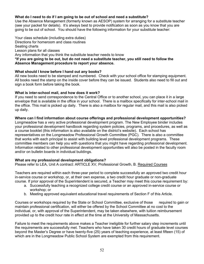### What do I need to do if I am going to be out of school and need a substitute?

Use the Absence Management (formerly known as AESOP) system for arranging for a substitute teacher (see your packet for details). It's always best to provide notification as soon as you know that you are going to be out of school. You should have the following information for your substitute teacher:

Your class schedule (including extra duties) Directions for homeroom and class routines Seating charts Lesson plans for all classes Any information that you think the substitute teacher needs to know \*If you are going to be out, but do not need a substitute teacher, you still need to follow the Absence Management procedure to report your absence.

### What should I know before I hand out any books?

All new books need to be stamped and numbered. Check with your school office for stamping equipment. All books need the stamp on the inside cover before they can be issued. Students also need to fill out and sign a book form before taking the book.

### What is inter-school mail, and how does it work?

If you need to send correspondence to the Central Office or to another school, you can place it in a large envelope that is available in the office in your school. There is a mailbox specifically for inter-school mail in the office. This mail is picked up daily. There is also a mailbox for regular mail, and this mail is also picked up daily.

### Where can I find information about course offerings and professional development opportunities?

Longmeadow has a very active professional development program. The New Employee binder includes your professional development handbook regarding system policies, programs, and procedures, as well as a course booklet (this information is also available on the district's website). Each school has representatives on the Longmeadow Professional Growth Committee (PGC). There is also a committee that works with each principal to assist with building level professional development programs. These committee members can help you with questions that you might have regarding professional development. Information related to other professional development opportunities will also be posted in the faculty room and/or on bulletin boards in individual buildings.

### What are my professional development obligations?

Please refer to LEA, Unit A contract: ARTICLE XV, Professional Growth, B. Required Courses

Teachers are required within each three-year period to complete successfully an approved two credit hour in-service course or workshop, or, at their own expense, a two credit hour graduate or non-graduate course. If prior approval of the Superintendent is secured, a Teacher may meet this course requirement by:

- a. Successfully teaching a recognized college credit course or an approved in-service course or workshop: or
- b. Meeting approved equivalent educational travel requirements of Section F of this Article.

Courses or workshops required by the State or School Committee, exclusive of those required to gain or maintain professional certification, will either be offered by the School Committee at no cost to the individual, or, with approval of the Superintendent, may be taken elsewhere, with tuition reimbursement provided up to the credit hour rate in effect at the time at the University of Massachusetts.

Failure to meet the requirements above makes a Teacher ineligible for further salary step increments until the requirements are successfully met. Teachers who have taken 30 credit hours of graduate level courses beyond the Master's Degree or have twenty-five (25) years of teaching experience, at least fifteen (15) of which are in the Longmeadow Public School System are exempted from this requirement.